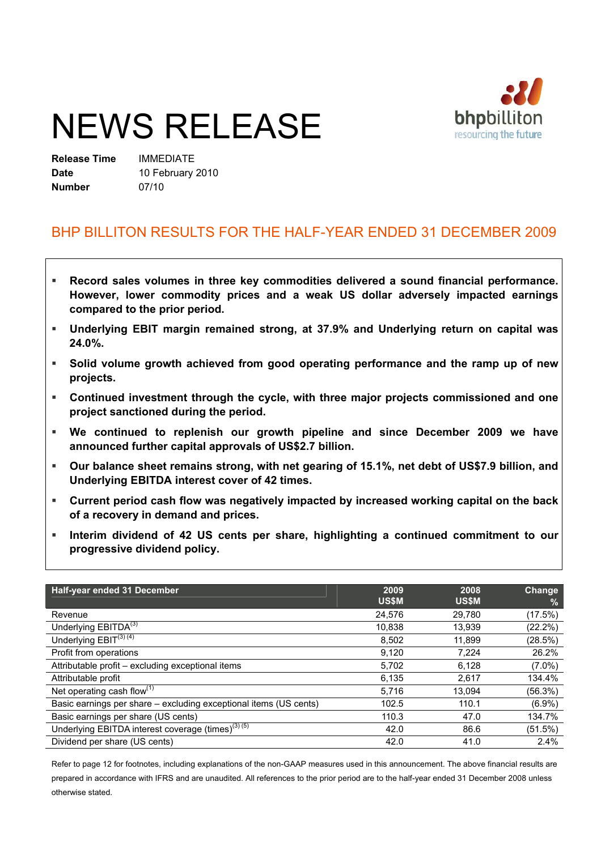# NEWS RELEASE



**Release Time** IMMEDIATE **Number** 07/10

**Date** 10 February 2010

## BHP BILLITON RESULTS FOR THE HALF-YEAR ENDED 31 DECEMBER 2009

- **Record sales volumes in three key commodities delivered a sound financial performance. However, lower commodity prices and a weak US dollar adversely impacted earnings compared to the prior period.**
- **Underlying EBIT margin remained strong, at 37.9% and Underlying return on capital was 24.0%.**
- **Solid volume growth achieved from good operating performance and the ramp up of new projects.**
- **Continued investment through the cycle, with three major projects commissioned and one project sanctioned during the period.**
- **We continued to replenish our growth pipeline and since December 2009 we have announced further capital approvals of US\$2.7 billion.**
- **Our balance sheet remains strong, with net gearing of 15.1%, net debt of US\$7.9 billion, and Underlying EBITDA interest cover of 42 times.**
- **Current period cash flow was negatively impacted by increased working capital on the back of a recovery in demand and prices.**
- **Interim dividend of 42 US cents per share, highlighting a continued commitment to our progressive dividend policy.**

| Half-year ended 31 December                                       | 2009<br><b>US\$M</b> | 2008<br><b>US\$M</b> | <b>Change</b><br>$\frac{9}{6}$ |
|-------------------------------------------------------------------|----------------------|----------------------|--------------------------------|
| Revenue                                                           | 24,576               | 29,780               | (17.5%)                        |
| Underlying EBITDA <sup>(3)</sup>                                  | 10,838               | 13,939               | (22.2%)                        |
| Underlying $EBIT^{(3)(4)}$                                        | 8,502                | 11,899               | (28.5%)                        |
| Profit from operations                                            | 9,120                | 7.224                | 26.2%                          |
| Attributable profit – excluding exceptional items                 | 5,702                | 6,128                | $(7.0\%)$                      |
| Attributable profit                                               | 6,135                | 2,617                | 134.4%                         |
| Net operating cash flow $(1)$                                     | 5,716                | 13,094               | (56.3%)                        |
| Basic earnings per share – excluding exceptional items (US cents) | 102.5                | 110.1                | $(6.9\%)$                      |
| Basic earnings per share (US cents)                               | 110.3                | 47.0                 | 134.7%                         |
| Underlying EBITDA interest coverage (times) <sup>(3) (5)</sup>    | 42.0                 | 86.6                 | (51.5%)                        |
| Dividend per share (US cents)                                     | 42.0                 | 41.0                 | 2.4%                           |

Refer to page 12 for footnotes, including explanations of the non-GAAP measures used in this announcement. The above financial results are prepared in accordance with IFRS and are unaudited. All references to the prior period are to the half-year ended 31 December 2008 unless otherwise stated.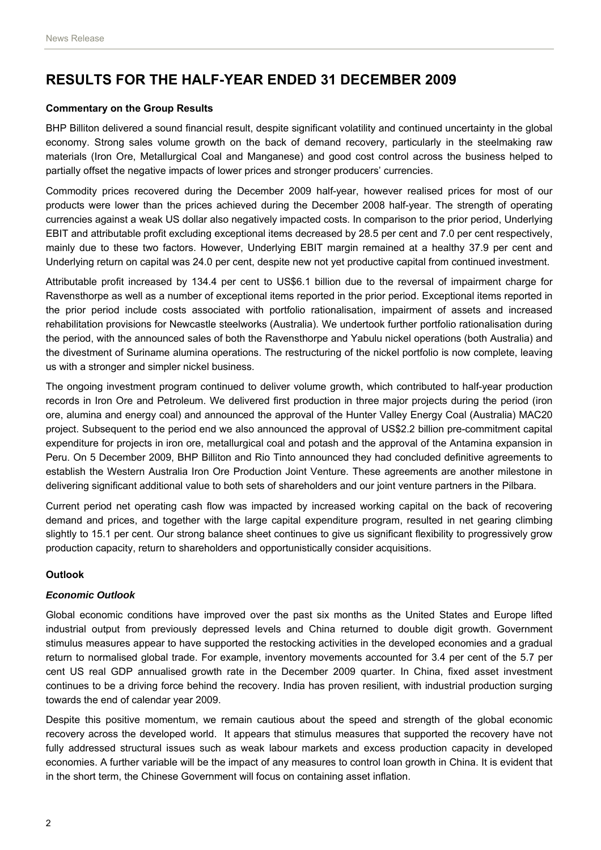# **RESULTS FOR THE HALF-YEAR ENDED 31 DECEMBER 2009**

#### **Commentary on the Group Results**

BHP Billiton delivered a sound financial result, despite significant volatility and continued uncertainty in the global economy. Strong sales volume growth on the back of demand recovery, particularly in the steelmaking raw materials (Iron Ore, Metallurgical Coal and Manganese) and good cost control across the business helped to partially offset the negative impacts of lower prices and stronger producers' currencies.

Commodity prices recovered during the December 2009 half-year, however realised prices for most of our products were lower than the prices achieved during the December 2008 half-year. The strength of operating currencies against a weak US dollar also negatively impacted costs. In comparison to the prior period, Underlying EBIT and attributable profit excluding exceptional items decreased by 28.5 per cent and 7.0 per cent respectively, mainly due to these two factors. However, Underlying EBIT margin remained at a healthy 37.9 per cent and Underlying return on capital was 24.0 per cent, despite new not yet productive capital from continued investment.

Attributable profit increased by 134.4 per cent to US\$6.1 billion due to the reversal of impairment charge for Ravensthorpe as well as a number of exceptional items reported in the prior period. Exceptional items reported in the prior period include costs associated with portfolio rationalisation, impairment of assets and increased rehabilitation provisions for Newcastle steelworks (Australia). We undertook further portfolio rationalisation during the period, with the announced sales of both the Ravensthorpe and Yabulu nickel operations (both Australia) and the divestment of Suriname alumina operations. The restructuring of the nickel portfolio is now complete, leaving us with a stronger and simpler nickel business.

The ongoing investment program continued to deliver volume growth, which contributed to half-year production records in Iron Ore and Petroleum. We delivered first production in three major projects during the period (iron ore, alumina and energy coal) and announced the approval of the Hunter Valley Energy Coal (Australia) MAC20 project. Subsequent to the period end we also announced the approval of US\$2.2 billion pre-commitment capital expenditure for projects in iron ore, metallurgical coal and potash and the approval of the Antamina expansion in Peru. On 5 December 2009, BHP Billiton and Rio Tinto announced they had concluded definitive agreements to establish the Western Australia Iron Ore Production Joint Venture. These agreements are another milestone in delivering significant additional value to both sets of shareholders and our joint venture partners in the Pilbara.

Current period net operating cash flow was impacted by increased working capital on the back of recovering demand and prices, and together with the large capital expenditure program, resulted in net gearing climbing slightly to 15.1 per cent. Our strong balance sheet continues to give us significant flexibility to progressively grow production capacity, return to shareholders and opportunistically consider acquisitions.

#### **Outlook**

#### *Economic Outlook*

Global economic conditions have improved over the past six months as the United States and Europe lifted industrial output from previously depressed levels and China returned to double digit growth. Government stimulus measures appear to have supported the restocking activities in the developed economies and a gradual return to normalised global trade. For example, inventory movements accounted for 3.4 per cent of the 5.7 per cent US real GDP annualised growth rate in the December 2009 quarter. In China, fixed asset investment continues to be a driving force behind the recovery. India has proven resilient, with industrial production surging towards the end of calendar year 2009.

Despite this positive momentum, we remain cautious about the speed and strength of the global economic recovery across the developed world. It appears that stimulus measures that supported the recovery have not fully addressed structural issues such as weak labour markets and excess production capacity in developed economies. A further variable will be the impact of any measures to control loan growth in China. It is evident that in the short term, the Chinese Government will focus on containing asset inflation.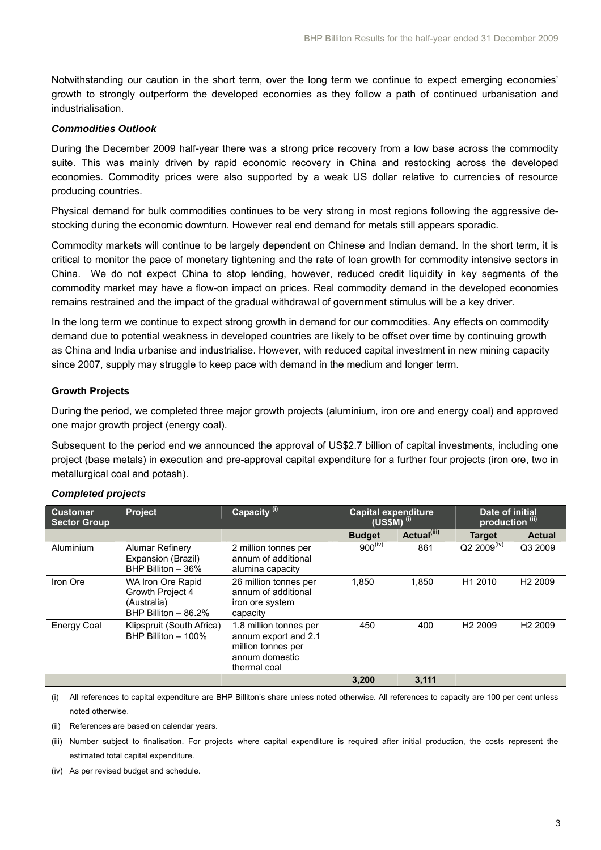Notwithstanding our caution in the short term, over the long term we continue to expect emerging economies' growth to strongly outperform the developed economies as they follow a path of continued urbanisation and industrialisation.

#### *Commodities Outlook*

During the December 2009 half-year there was a strong price recovery from a low base across the commodity suite. This was mainly driven by rapid economic recovery in China and restocking across the developed economies. Commodity prices were also supported by a weak US dollar relative to currencies of resource producing countries.

Physical demand for bulk commodities continues to be very strong in most regions following the aggressive destocking during the economic downturn. However real end demand for metals still appears sporadic.

Commodity markets will continue to be largely dependent on Chinese and Indian demand. In the short term, it is critical to monitor the pace of monetary tightening and the rate of loan growth for commodity intensive sectors in China. We do not expect China to stop lending, however, reduced credit liquidity in key segments of the commodity market may have a flow-on impact on prices. Real commodity demand in the developed economies remains restrained and the impact of the gradual withdrawal of government stimulus will be a key driver.

In the long term we continue to expect strong growth in demand for our commodities. Any effects on commodity demand due to potential weakness in developed countries are likely to be offset over time by continuing growth as China and India urbanise and industrialise. However, with reduced capital investment in new mining capacity since 2007, supply may struggle to keep pace with demand in the medium and longer term.

#### **Growth Projects**

During the period, we completed three major growth projects (aluminium, iron ore and energy coal) and approved one major growth project (energy coal).

Subsequent to the period end we announced the approval of US\$2.7 billion of capital investments, including one project (base metals) in execution and pre-approval capital expenditure for a further four projects (iron ore, two in metallurgical coal and potash).

| <b>Customer</b><br><b>Sector Group</b> | <b>Project</b>                                                               | Capacity <sup>(i)</sup>                                                                                | <b>Capital expenditure</b><br>$(US$M)$ <sup>(i)</sup> |                         | Date of initial<br>production <sup>(ii)</sup> |                     |
|----------------------------------------|------------------------------------------------------------------------------|--------------------------------------------------------------------------------------------------------|-------------------------------------------------------|-------------------------|-----------------------------------------------|---------------------|
|                                        |                                                                              |                                                                                                        | <b>Budget</b>                                         | Actual <sup>(iii)</sup> | <b>Target</b>                                 | <b>Actual</b>       |
| Aluminium                              | Alumar Refinery<br>Expansion (Brazil)<br>BHP Billiton - 36%                  | 2 million tonnes per<br>annum of additional<br>alumina capacity                                        | $900^{(iv)}$                                          | 861                     | $Q2 2009$ <sup>(iv)</sup>                     | Q3 2009             |
| Iron Ore                               | WA Iron Ore Rapid<br>Growth Project 4<br>(Australia)<br>BHP Billiton - 86.2% | 26 million tonnes per<br>annum of additional<br>iron ore system<br>capacity                            | 1,850                                                 | 1,850                   | H1 2010                                       | H <sub>2</sub> 2009 |
| <b>Energy Coal</b>                     | Klipspruit (South Africa)<br>BHP Billiton - 100%                             | 1.8 million tonnes per<br>annum export and 2.1<br>million tonnes per<br>annum domestic<br>thermal coal | 450                                                   | 400                     | H <sub>2</sub> 2009                           | H <sub>2</sub> 2009 |
|                                        |                                                                              |                                                                                                        | 3,200                                                 | 3,111                   |                                               |                     |

#### *Completed projects*

(i) All references to capital expenditure are BHP Billiton's share unless noted otherwise. All references to capacity are 100 per cent unless noted otherwise.

(ii) References are based on calendar years.

(iii) Number subject to finalisation. For projects where capital expenditure is required after initial production, the costs represent the estimated total capital expenditure.

(iv) As per revised budget and schedule.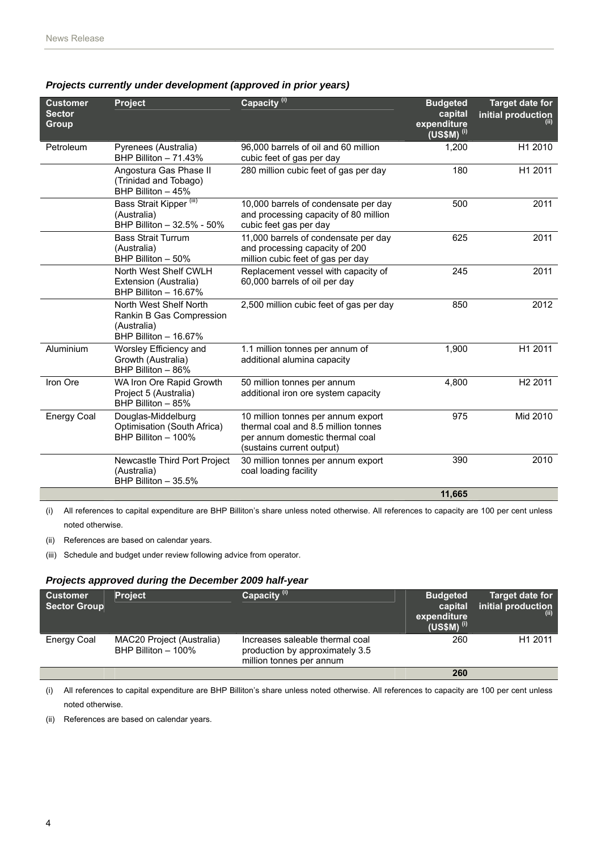| <b>Customer</b>               | Project                                                                                    | Capacity <sup>(i)</sup>                                                                                                                   | <b>Budgeted</b>                                   | Target date for     |
|-------------------------------|--------------------------------------------------------------------------------------------|-------------------------------------------------------------------------------------------------------------------------------------------|---------------------------------------------------|---------------------|
| <b>Sector</b><br><b>Group</b> |                                                                                            |                                                                                                                                           | capital<br>expenditure<br>$(USSM)$ <sup>(i)</sup> | initial production  |
| Petroleum                     | Pyrenees (Australia)<br>BHP Billiton $-71.43%$                                             | 96,000 barrels of oil and 60 million<br>cubic feet of gas per day                                                                         | 1,200                                             | H1 2010             |
|                               | Angostura Gas Phase II<br>(Trinidad and Tobago)<br>BHP Billiton - 45%                      | 280 million cubic feet of gas per day                                                                                                     | 180                                               | H1 2011             |
|                               | Bass Strait Kipper <sup>(iii)</sup><br>(Australia)<br>BHP Billiton - 32.5% - 50%           | 10,000 barrels of condensate per day<br>and processing capacity of 80 million<br>cubic feet gas per day                                   | 500                                               | 2011                |
|                               | <b>Bass Strait Turrum</b><br>(Australia)<br>BHP Billiton - 50%                             | 11,000 barrels of condensate per day<br>and processing capacity of 200<br>million cubic feet of gas per day                               | 625                                               | 2011                |
|                               | North West Shelf CWLH<br>Extension (Australia)<br>BHP Billiton - 16.67%                    | Replacement vessel with capacity of<br>60,000 barrels of oil per day                                                                      | 245                                               | 2011                |
|                               | North West Shelf North<br>Rankin B Gas Compression<br>(Australia)<br>BHP Billiton - 16.67% | 2,500 million cubic feet of gas per day                                                                                                   | 850                                               | 2012                |
| Aluminium                     | Worsley Efficiency and<br>Growth (Australia)<br>BHP Billiton - 86%                         | 1.1 million tonnes per annum of<br>additional alumina capacity                                                                            | 1,900                                             | H1 2011             |
| Iron Ore                      | WA Iron Ore Rapid Growth<br>Project 5 (Australia)<br>BHP Billiton - 85%                    | 50 million tonnes per annum<br>additional iron ore system capacity                                                                        | 4,800                                             | H <sub>2</sub> 2011 |
| <b>Energy Coal</b>            | Douglas-Middelburg<br>Optimisation (South Africa)<br>BHP Billiton - 100%                   | 10 million tonnes per annum export<br>thermal coal and 8.5 million tonnes<br>per annum domestic thermal coal<br>(sustains current output) | 975                                               | Mid 2010            |
|                               | Newcastle Third Port Project<br>(Australia)<br>BHP Billiton - 35.5%                        | 30 million tonnes per annum export<br>coal loading facility                                                                               | 390                                               | 2010                |
|                               |                                                                                            |                                                                                                                                           | 11.665                                            |                     |

#### *Projects currently under development (approved in prior years)*

(i) All references to capital expenditure are BHP Billiton's share unless noted otherwise. All references to capacity are 100 per cent unless noted otherwise.

(ii) References are based on calendar years.

(iii) Schedule and budget under review following advice from operator.

#### *Projects approved during the December 2009 half-year*

| <b>Customer</b><br><b>Sector Group</b> | <b>Project</b>                                   | Capacity <sup>(i)</sup>                                                                        | <b>Budgeted</b><br>capital<br>expenditure<br>$\left($ US\$M) $\right)$ <sup>(i)</sup> | Target date for<br>initial production<br>(ii) |
|----------------------------------------|--------------------------------------------------|------------------------------------------------------------------------------------------------|---------------------------------------------------------------------------------------|-----------------------------------------------|
| Energy Coal                            | MAC20 Project (Australia)<br>BHP Billiton - 100% | Increases saleable thermal coal<br>production by approximately 3.5<br>million tonnes per annum | 260                                                                                   | H <sub>1</sub> 2011                           |
|                                        |                                                  |                                                                                                | 260                                                                                   |                                               |

(i) All references to capital expenditure are BHP Billiton's share unless noted otherwise. All references to capacity are 100 per cent unless noted otherwise.

(ii) References are based on calendar years.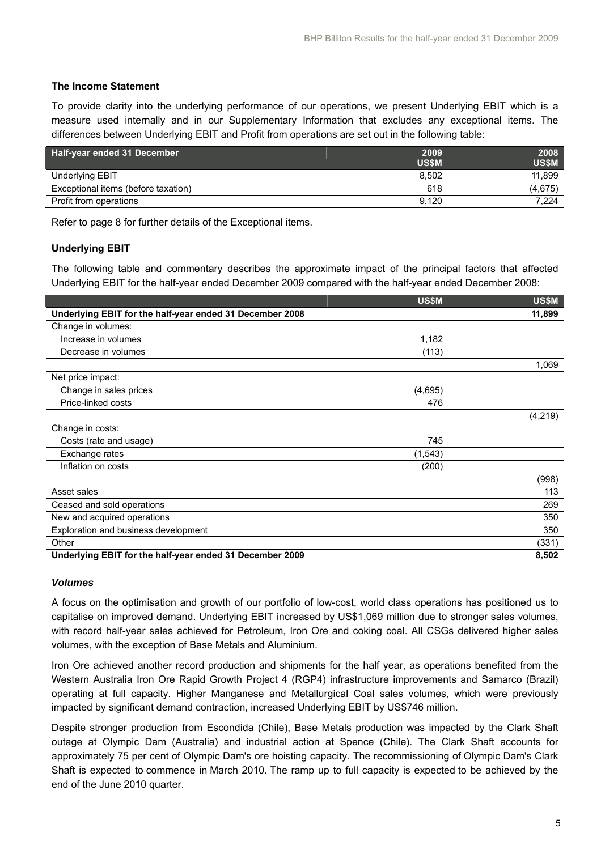#### **The Income Statement**

To provide clarity into the underlying performance of our operations, we present Underlying EBIT which is a measure used internally and in our Supplementary Information that excludes any exceptional items. The differences between Underlying EBIT and Profit from operations are set out in the following table:

| Half-year ended 31 December         | 2009        | 2008        |
|-------------------------------------|-------------|-------------|
|                                     | <b>USSM</b> | <b>USSM</b> |
| Underlying EBIT                     | 8.502       | 11.899      |
| Exceptional items (before taxation) | 618         | (4,675)     |
| Profit from operations              | 9.120       | 7.224       |

Refer to page 8 for further details of the Exceptional items.

#### **Underlying EBIT**

The following table and commentary describes the approximate impact of the principal factors that affected Underlying EBIT for the half-year ended December 2009 compared with the half-year ended December 2008:

|                                                          | <b>US\$M</b> | US\$M    |
|----------------------------------------------------------|--------------|----------|
| Underlying EBIT for the half-year ended 31 December 2008 |              | 11,899   |
| Change in volumes:                                       |              |          |
| Increase in volumes                                      | 1,182        |          |
| Decrease in volumes                                      | (113)        |          |
|                                                          |              | 1,069    |
| Net price impact:                                        |              |          |
| Change in sales prices                                   | (4,695)      |          |
| Price-linked costs                                       | 476          |          |
|                                                          |              | (4, 219) |
| Change in costs:                                         |              |          |
| Costs (rate and usage)                                   | 745          |          |
| Exchange rates                                           | (1, 543)     |          |
| Inflation on costs                                       | (200)        |          |
|                                                          |              | (998)    |
| Asset sales                                              |              | 113      |
| Ceased and sold operations                               |              | 269      |
| New and acquired operations                              |              | 350      |
| Exploration and business development                     |              | 350      |
| Other                                                    |              | (331)    |
| Underlying EBIT for the half-year ended 31 December 2009 |              | 8,502    |
|                                                          |              |          |

#### *Volumes*

A focus on the optimisation and growth of our portfolio of low-cost, world class operations has positioned us to capitalise on improved demand. Underlying EBIT increased by US\$1,069 million due to stronger sales volumes, with record half-year sales achieved for Petroleum, Iron Ore and coking coal. All CSGs delivered higher sales volumes, with the exception of Base Metals and Aluminium.

Iron Ore achieved another record production and shipments for the half year, as operations benefited from the Western Australia Iron Ore Rapid Growth Project 4 (RGP4) infrastructure improvements and Samarco (Brazil) operating at full capacity. Higher Manganese and Metallurgical Coal sales volumes, which were previously impacted by significant demand contraction, increased Underlying EBIT by US\$746 million.

Despite stronger production from Escondida (Chile), Base Metals production was impacted by the Clark Shaft outage at Olympic Dam (Australia) and industrial action at Spence (Chile). The Clark Shaft accounts for approximately 75 per cent of Olympic Dam's ore hoisting capacity. The recommissioning of Olympic Dam's Clark Shaft is expected to commence in March 2010. The ramp up to full capacity is expected to be achieved by the end of the June 2010 quarter.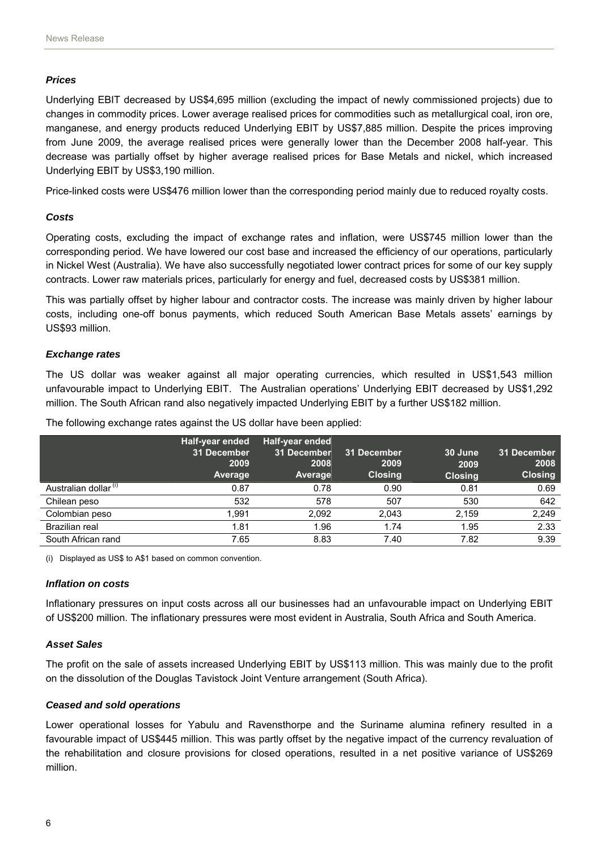#### *Prices*

Underlying EBIT decreased by US\$4,695 million (excluding the impact of newly commissioned projects) due to changes in commodity prices. Lower average realised prices for commodities such as metallurgical coal, iron ore, manganese, and energy products reduced Underlying EBIT by US\$7,885 million. Despite the prices improving from June 2009, the average realised prices were generally lower than the December 2008 half-year. This decrease was partially offset by higher average realised prices for Base Metals and nickel, which increased Underlying EBIT by US\$3,190 million.

Price-linked costs were US\$476 million lower than the corresponding period mainly due to reduced royalty costs.

#### *Costs*

Operating costs, excluding the impact of exchange rates and inflation, were US\$745 million lower than the corresponding period. We have lowered our cost base and increased the efficiency of our operations, particularly in Nickel West (Australia). We have also successfully negotiated lower contract prices for some of our key supply contracts. Lower raw materials prices, particularly for energy and fuel, decreased costs by US\$381 million.

This was partially offset by higher labour and contractor costs. The increase was mainly driven by higher labour costs, including one-off bonus payments, which reduced South American Base Metals assets' earnings by US\$93 million.

#### *Exchange rates*

The US dollar was weaker against all major operating currencies, which resulted in US\$1,543 million unfavourable impact to Underlying EBIT. The Australian operations' Underlying EBIT decreased by US\$1,292 million. The South African rand also negatively impacted Underlying EBIT by a further US\$182 million.

|                                  | Half-year ended<br>31 December<br>2009<br><b>Average</b> | Half-year ended<br>31 December<br>2008<br>Average | 31 December<br>2009<br><b>Closing</b> | 30 June<br>2009<br><b>Closing</b> | 31 December<br>2008<br><b>Closing</b> |
|----------------------------------|----------------------------------------------------------|---------------------------------------------------|---------------------------------------|-----------------------------------|---------------------------------------|
| Australian dollar <sup>(1)</sup> | 0.87                                                     | 0.78                                              | 0.90                                  | 0.81                              | 0.69                                  |
| Chilean peso                     | 532                                                      | 578                                               | 507                                   | 530                               | 642                                   |
| Colombian peso                   | 1.991                                                    | 2,092                                             | 2,043                                 | 2.159                             | 2,249                                 |
| Brazilian real                   | 1.81                                                     | 1.96                                              | 1.74                                  | 1.95                              | 2.33                                  |
| South African rand               | 7.65                                                     | 8.83                                              | 7.40                                  | 7.82                              | 9.39                                  |

The following exchange rates against the US dollar have been applied:

(i) Displayed as US\$ to A\$1 based on common convention.

#### *Inflation on costs*

Inflationary pressures on input costs across all our businesses had an unfavourable impact on Underlying EBIT of US\$200 million. The inflationary pressures were most evident in Australia, South Africa and South America.

#### *Asset Sales*

The profit on the sale of assets increased Underlying EBIT by US\$113 million. This was mainly due to the profit on the dissolution of the Douglas Tavistock Joint Venture arrangement (South Africa).

#### *Ceased and sold operations*

Lower operational losses for Yabulu and Ravensthorpe and the Suriname alumina refinery resulted in a favourable impact of US\$445 million. This was partly offset by the negative impact of the currency revaluation of the rehabilitation and closure provisions for closed operations, resulted in a net positive variance of US\$269 million.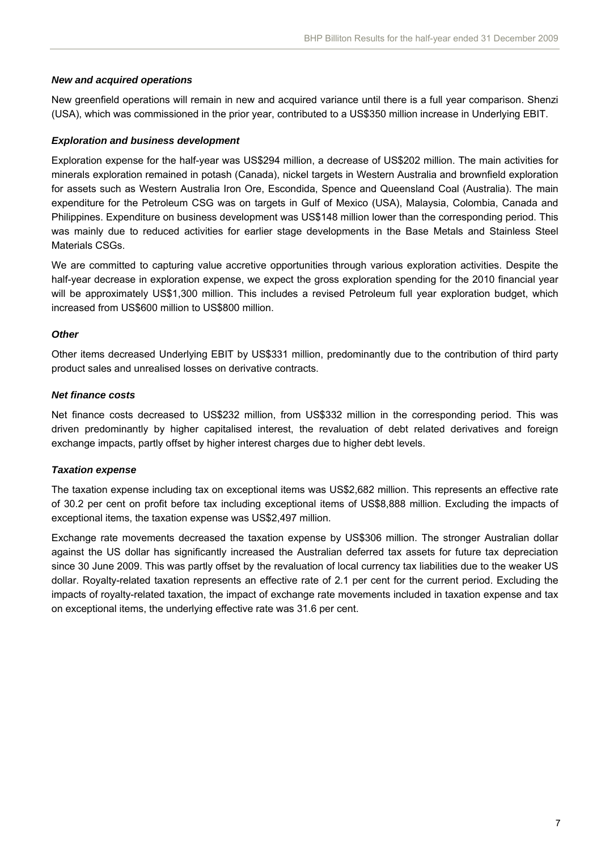#### *New and acquired operations*

New greenfield operations will remain in new and acquired variance until there is a full year comparison. Shenzi (USA), which was commissioned in the prior year, contributed to a US\$350 million increase in Underlying EBIT.

#### *Exploration and business development*

Exploration expense for the half-year was US\$294 million, a decrease of US\$202 million. The main activities for minerals exploration remained in potash (Canada), nickel targets in Western Australia and brownfield exploration for assets such as Western Australia Iron Ore, Escondida, Spence and Queensland Coal (Australia). The main expenditure for the Petroleum CSG was on targets in Gulf of Mexico (USA), Malaysia, Colombia, Canada and Philippines. Expenditure on business development was US\$148 million lower than the corresponding period. This was mainly due to reduced activities for earlier stage developments in the Base Metals and Stainless Steel Materials CSGs.

We are committed to capturing value accretive opportunities through various exploration activities. Despite the half-year decrease in exploration expense, we expect the gross exploration spending for the 2010 financial year will be approximately US\$1,300 million. This includes a revised Petroleum full year exploration budget, which increased from US\$600 million to US\$800 million.

#### *Other*

Other items decreased Underlying EBIT by US\$331 million, predominantly due to the contribution of third party product sales and unrealised losses on derivative contracts.

#### *Net finance costs*

Net finance costs decreased to US\$232 million, from US\$332 million in the corresponding period. This was driven predominantly by higher capitalised interest, the revaluation of debt related derivatives and foreign exchange impacts, partly offset by higher interest charges due to higher debt levels.

#### *Taxation expense*

The taxation expense including tax on exceptional items was US\$2,682 million. This represents an effective rate of 30.2 per cent on profit before tax including exceptional items of US\$8,888 million. Excluding the impacts of exceptional items, the taxation expense was US\$2,497 million.

Exchange rate movements decreased the taxation expense by US\$306 million. The stronger Australian dollar against the US dollar has significantly increased the Australian deferred tax assets for future tax depreciation since 30 June 2009. This was partly offset by the revaluation of local currency tax liabilities due to the weaker US dollar. Royalty-related taxation represents an effective rate of 2.1 per cent for the current period. Excluding the impacts of royalty-related taxation, the impact of exchange rate movements included in taxation expense and tax on exceptional items, the underlying effective rate was 31.6 per cent.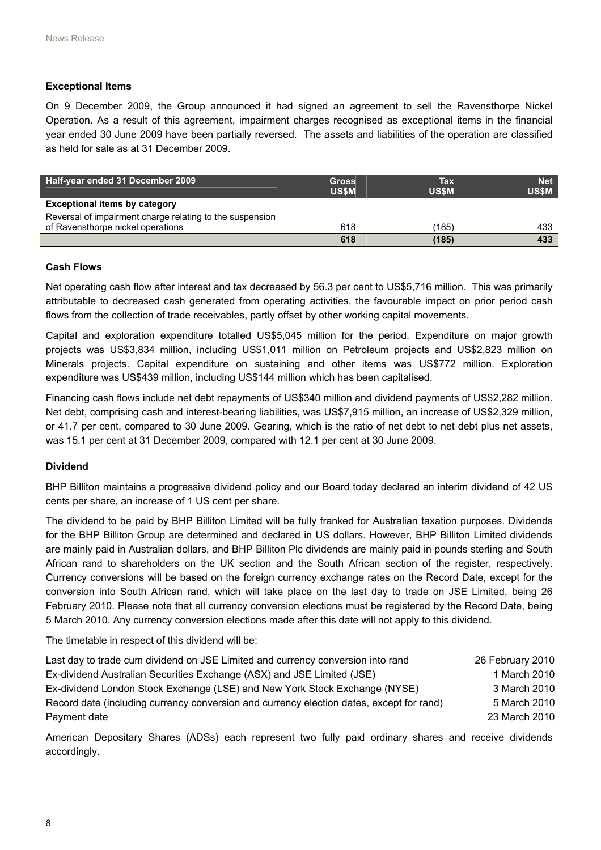#### **Exceptional Items**

On 9 December 2009, the Group announced it had signed an agreement to sell the Ravensthorpe Nickel Operation. As a result of this agreement, impairment charges recognised as exceptional items in the financial year ended 30 June 2009 have been partially reversed. The assets and liabilities of the operation are classified as held for sale as at 31 December 2009.

| Half-year ended 31 December 2009                         | Gross<br><b>US\$M</b> | Tax<br><b>USSM</b> | <b>Net</b><br><b>USSM</b> |
|----------------------------------------------------------|-----------------------|--------------------|---------------------------|
| <b>Exceptional items by category</b>                     |                       |                    |                           |
| Reversal of impairment charge relating to the suspension |                       |                    |                           |
| of Ravensthorpe nickel operations                        | 618                   | (185)              | 433                       |
|                                                          | 618                   | (185)              | 433                       |

#### **Cash Flows**

Net operating cash flow after interest and tax decreased by 56.3 per cent to US\$5,716 million. This was primarily attributable to decreased cash generated from operating activities, the favourable impact on prior period cash flows from the collection of trade receivables, partly offset by other working capital movements.

Capital and exploration expenditure totalled US\$5,045 million for the period. Expenditure on major growth projects was US\$3,834 million, including US\$1,011 million on Petroleum projects and US\$2,823 million on Minerals projects. Capital expenditure on sustaining and other items was US\$772 million. Exploration expenditure was US\$439 million, including US\$144 million which has been capitalised.

Financing cash flows include net debt repayments of US\$340 million and dividend payments of US\$2,282 million. Net debt, comprising cash and interest-bearing liabilities, was US\$7,915 million, an increase of US\$2,329 million, or 41.7 per cent, compared to 30 June 2009. Gearing, which is the ratio of net debt to net debt plus net assets, was 15.1 per cent at 31 December 2009, compared with 12.1 per cent at 30 June 2009.

#### **Dividend**

BHP Billiton maintains a progressive dividend policy and our Board today declared an interim dividend of 42 US cents per share, an increase of 1 US cent per share.

The dividend to be paid by BHP Billiton Limited will be fully franked for Australian taxation purposes. Dividends for the BHP Billiton Group are determined and declared in US dollars. However, BHP Billiton Limited dividends are mainly paid in Australian dollars, and BHP Billiton Plc dividends are mainly paid in pounds sterling and South African rand to shareholders on the UK section and the South African section of the register, respectively. Currency conversions will be based on the foreign currency exchange rates on the Record Date, except for the conversion into South African rand, which will take place on the last day to trade on JSE Limited, being 26 February 2010. Please note that all currency conversion elections must be registered by the Record Date, being 5 March 2010. Any currency conversion elections made after this date will not apply to this dividend.

The timetable in respect of this dividend will be:

| Last day to trade cum dividend on JSE Limited and currency conversion into rand          | 26 February 2010 |
|------------------------------------------------------------------------------------------|------------------|
| Ex-dividend Australian Securities Exchange (ASX) and JSE Limited (JSE)                   | 1 March 2010     |
| Ex-dividend London Stock Exchange (LSE) and New York Stock Exchange (NYSE)               | 3 March 2010     |
| Record date (including currency conversion and currency election dates, except for rand) | 5 March 2010     |
| Payment date                                                                             | 23 March 2010    |

American Depositary Shares (ADSs) each represent two fully paid ordinary shares and receive dividends accordingly.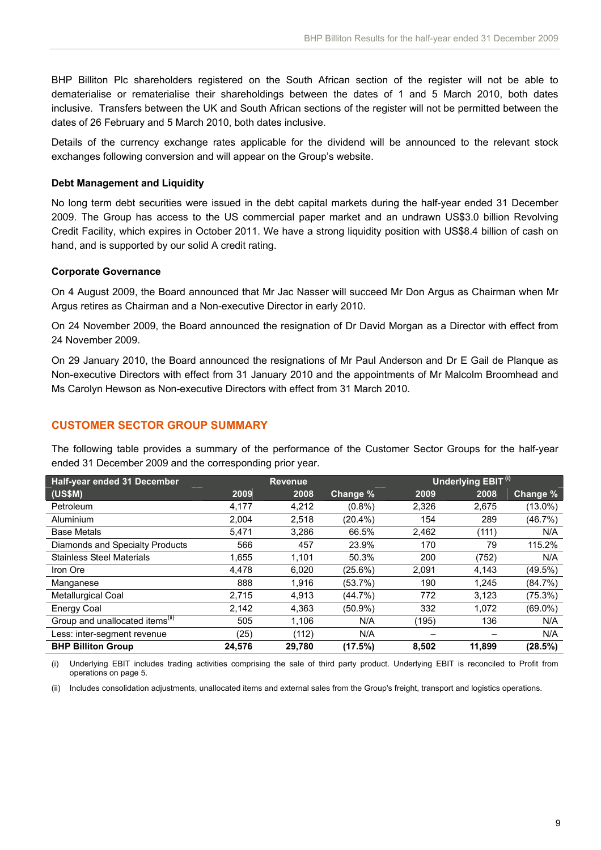BHP Billiton Plc shareholders registered on the South African section of the register will not be able to dematerialise or rematerialise their shareholdings between the dates of 1 and 5 March 2010, both dates inclusive. Transfers between the UK and South African sections of the register will not be permitted between the dates of 26 February and 5 March 2010, both dates inclusive.

Details of the currency exchange rates applicable for the dividend will be announced to the relevant stock exchanges following conversion and will appear on the Group's website.

#### **Debt Management and Liquidity**

No long term debt securities were issued in the debt capital markets during the half-year ended 31 December 2009. The Group has access to the US commercial paper market and an undrawn US\$3.0 billion Revolving Credit Facility, which expires in October 2011. We have a strong liquidity position with US\$8.4 billion of cash on hand, and is supported by our solid A credit rating.

#### **Corporate Governance**

On 4 August 2009, the Board announced that Mr Jac Nasser will succeed Mr Don Argus as Chairman when Mr Argus retires as Chairman and a Non-executive Director in early 2010.

On 24 November 2009, the Board announced the resignation of Dr David Morgan as a Director with effect from 24 November 2009.

On 29 January 2010, the Board announced the resignations of Mr Paul Anderson and Dr E Gail de Planque as Non-executive Directors with effect from 31 January 2010 and the appointments of Mr Malcolm Broomhead and Ms Carolyn Hewson as Non-executive Directors with effect from 31 March 2010.

#### **CUSTOMER SECTOR GROUP SUMMARY**

The following table provides a summary of the performance of the Customer Sector Groups for the half-year ended 31 December 2009 and the corresponding prior year.

| Half-year ended 31 December                 |        | <b>Revenue</b> |            |       | <b>Underlying EBIT (i)</b> |            |
|---------------------------------------------|--------|----------------|------------|-------|----------------------------|------------|
| (US\$M)                                     | 2009   | 2008           | Change %   | 2009  | 2008                       | Change %   |
| Petroleum                                   | 4,177  | 4,212          | $(0.8\%)$  | 2,326 | 2,675                      | $(13.0\%)$ |
| Aluminium                                   | 2,004  | 2,518          | $(20.4\%)$ | 154   | 289                        | (46.7%)    |
| <b>Base Metals</b>                          | 5.471  | 3,286          | 66.5%      | 2,462 | (111)                      | N/A        |
| Diamonds and Specialty Products             | 566    | 457            | 23.9%      | 170   | 79                         | 115.2%     |
| <b>Stainless Steel Materials</b>            | 1.655  | 1,101          | 50.3%      | 200   | (752)                      | N/A        |
| Iron Ore                                    | 4.478  | 6,020          | $(25.6\%)$ | 2,091 | 4,143                      | (49.5%)    |
| Manganese                                   | 888    | 1,916          | (53.7%)    | 190   | 1.245                      | (84.7%)    |
| <b>Metallurgical Coal</b>                   | 2,715  | 4,913          | $(44.7\%)$ | 772   | 3,123                      | $(75.3\%)$ |
| <b>Energy Coal</b>                          | 2,142  | 4,363          | $(50.9\%)$ | 332   | 1,072                      | $(69.0\%)$ |
| Group and unallocated items <sup>(ii)</sup> | 505    | 1,106          | N/A        | (195) | 136                        | N/A        |
| Less: inter-segment revenue                 | (25)   | (112)          | N/A        |       |                            | N/A        |
| <b>BHP Billiton Group</b>                   | 24,576 | 29,780         | (17.5%)    | 8,502 | 11,899                     | (28.5%)    |

(i) Underlying EBIT includes trading activities comprising the sale of third party product. Underlying EBIT is reconciled to Profit from operations on page 5.

(ii) Includes consolidation adjustments, unallocated items and external sales from the Group's freight, transport and logistics operations.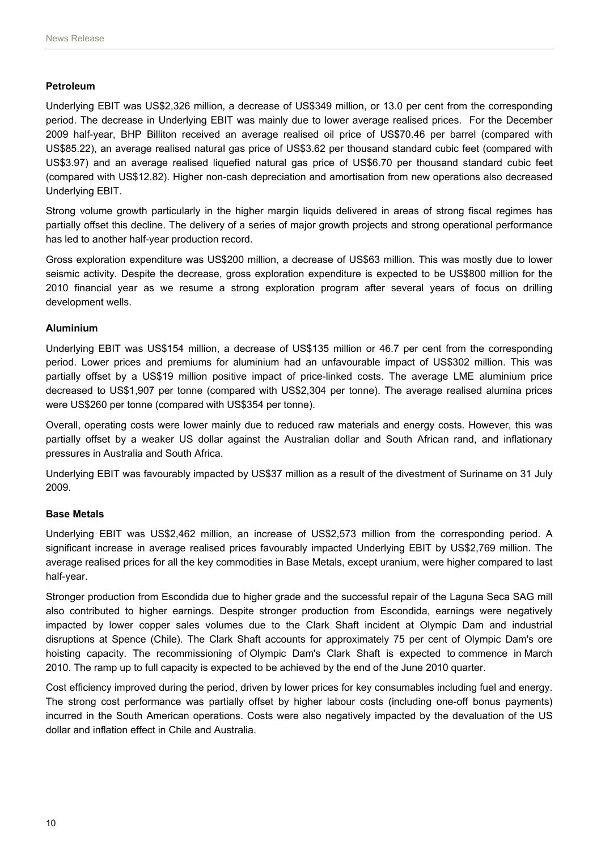#### **Petroleum**

Underlying EBIT was US\$2,326 million, a decrease of US\$349 million, or 13.0 per cent from the corresponding period. The decrease in Underlying EBIT was mainly due to lower average realised prices. For the December 2009 half-year, BHP Billiton received an average realised oil price of US\$70.46 per barrel (compared with US\$85.22), an average realised natural gas price of US\$3.62 per thousand standard cubic feet (compared with US\$3.97) and an average realised liquefied natural gas price of US\$6.70 per thousand standard cubic feet (compared with US\$12.82). Higher non-cash depreciation and amortisation from new operations also decreased Underlying EBIT.

Strong volume growth particularly in the higher margin liquids delivered in areas of strong fiscal regimes has partially offset this decline. The delivery of a series of major growth projects and strong operational performance has led to another half-year production record.

Gross exploration expenditure was US\$200 million, a decrease of US\$63 million. This was mostly due to lower seismic activity. Despite the decrease, gross exploration expenditure is expected to be US\$800 million for the 2010 financial year as we resume a strong exploration program after several years of focus on drilling development wells.

#### **Aluminium**

Underlying EBIT was US\$154 million, a decrease of US\$135 million or 46.7 per cent from the corresponding period. Lower prices and premiums for aluminium had an unfavourable impact of US\$302 million. This was partially offset by a US\$19 million positive impact of price-linked costs. The average LME aluminium price decreased to US\$1,907 per tonne (compared with US\$2,304 per tonne). The average realised alumina prices were US\$260 per tonne (compared with US\$354 per tonne).

Overall, operating costs were lower mainly due to reduced raw materials and energy costs. However, this was partially offset by a weaker US dollar against the Australian dollar and South African rand, and inflationary pressures in Australia and South Africa.

Underlying EBIT was favourably impacted by US\$37 million as a result of the divestment of Suriname on 31 July 2009.

#### **Base Metals**

Underlying EBIT was US\$2,462 million, an increase of US\$2,573 million from the corresponding period. A significant increase in average realised prices favourably impacted Underlying EBIT by US\$2,769 million. The average realised prices for all the key commodities in Base Metals, except uranium, were higher compared to last half-year.

Stronger production from Escondida due to higher grade and the successful repair of the Laguna Seca SAG mill also contributed to higher earnings. Despite stronger production from Escondida, earnings were negatively impacted by lower copper sales volumes due to the Clark Shaft incident at Olympic Dam and industrial disruptions at Spence (Chile). The Clark Shaft accounts for approximately 75 per cent of Olympic Dam's ore hoisting capacity. The recommissioning of Olympic Dam's Clark Shaft is expected to commence in March 2010. The ramp up to full capacity is expected to be achieved by the end of the June 2010 quarter.

Cost efficiency improved during the period, driven by lower prices for key consumables including fuel and energy. The strong cost performance was partially offset by higher labour costs (including one-off bonus payments) incurred in the South American operations. Costs were also negatively impacted by the devaluation of the US dollar and inflation effect in Chile and Australia.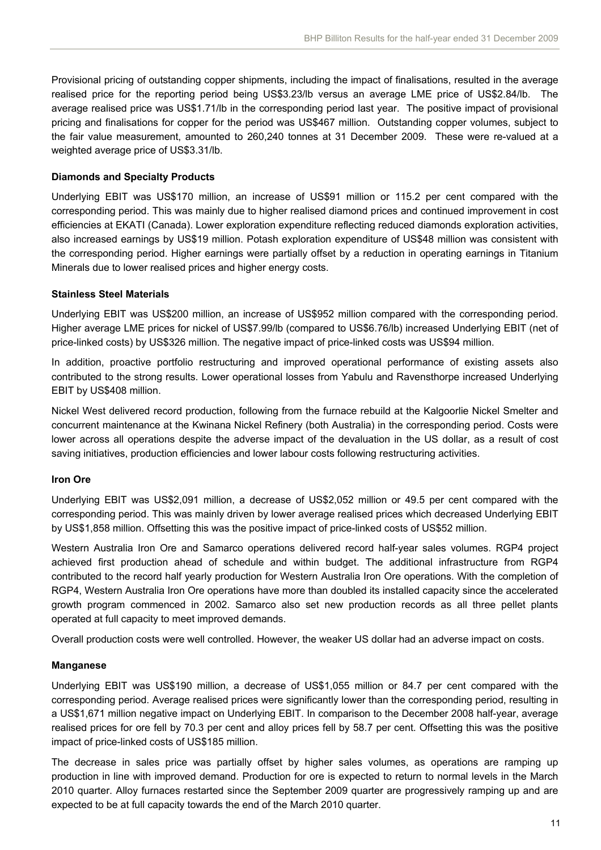Provisional pricing of outstanding copper shipments, including the impact of finalisations, resulted in the average realised price for the reporting period being US\$3.23/lb versus an average LME price of US\$2.84/lb. The average realised price was US\$1.71/lb in the corresponding period last year. The positive impact of provisional pricing and finalisations for copper for the period was US\$467 million. Outstanding copper volumes, subject to the fair value measurement, amounted to 260,240 tonnes at 31 December 2009. These were re-valued at a weighted average price of US\$3.31/lb.

#### **Diamonds and Specialty Products**

Underlying EBIT was US\$170 million, an increase of US\$91 million or 115.2 per cent compared with the corresponding period. This was mainly due to higher realised diamond prices and continued improvement in cost efficiencies at EKATI (Canada). Lower exploration expenditure reflecting reduced diamonds exploration activities, also increased earnings by US\$19 million. Potash exploration expenditure of US\$48 million was consistent with the corresponding period. Higher earnings were partially offset by a reduction in operating earnings in Titanium Minerals due to lower realised prices and higher energy costs.

#### **Stainless Steel Materials**

Underlying EBIT was US\$200 million, an increase of US\$952 million compared with the corresponding period. Higher average LME prices for nickel of US\$7.99/lb (compared to US\$6.76/lb) increased Underlying EBIT (net of price-linked costs) by US\$326 million. The negative impact of price-linked costs was US\$94 million.

In addition, proactive portfolio restructuring and improved operational performance of existing assets also contributed to the strong results. Lower operational losses from Yabulu and Ravensthorpe increased Underlying EBIT by US\$408 million.

Nickel West delivered record production, following from the furnace rebuild at the Kalgoorlie Nickel Smelter and concurrent maintenance at the Kwinana Nickel Refinery (both Australia) in the corresponding period. Costs were lower across all operations despite the adverse impact of the devaluation in the US dollar, as a result of cost saving initiatives, production efficiencies and lower labour costs following restructuring activities.

#### **Iron Ore**

Underlying EBIT was US\$2,091 million, a decrease of US\$2,052 million or 49.5 per cent compared with the corresponding period. This was mainly driven by lower average realised prices which decreased Underlying EBIT by US\$1,858 million. Offsetting this was the positive impact of price-linked costs of US\$52 million.

Western Australia Iron Ore and Samarco operations delivered record half-year sales volumes. RGP4 project achieved first production ahead of schedule and within budget. The additional infrastructure from RGP4 contributed to the record half yearly production for Western Australia Iron Ore operations. With the completion of RGP4, Western Australia Iron Ore operations have more than doubled its installed capacity since the accelerated growth program commenced in 2002. Samarco also set new production records as all three pellet plants operated at full capacity to meet improved demands.

Overall production costs were well controlled. However, the weaker US dollar had an adverse impact on costs.

#### **Manganese**

Underlying EBIT was US\$190 million, a decrease of US\$1,055 million or 84.7 per cent compared with the corresponding period. Average realised prices were significantly lower than the corresponding period, resulting in a US\$1,671 million negative impact on Underlying EBIT. In comparison to the December 2008 half-year, average realised prices for ore fell by 70.3 per cent and alloy prices fell by 58.7 per cent. Offsetting this was the positive impact of price-linked costs of US\$185 million.

The decrease in sales price was partially offset by higher sales volumes, as operations are ramping up production in line with improved demand. Production for ore is expected to return to normal levels in the March 2010 quarter. Alloy furnaces restarted since the September 2009 quarter are progressively ramping up and are expected to be at full capacity towards the end of the March 2010 quarter.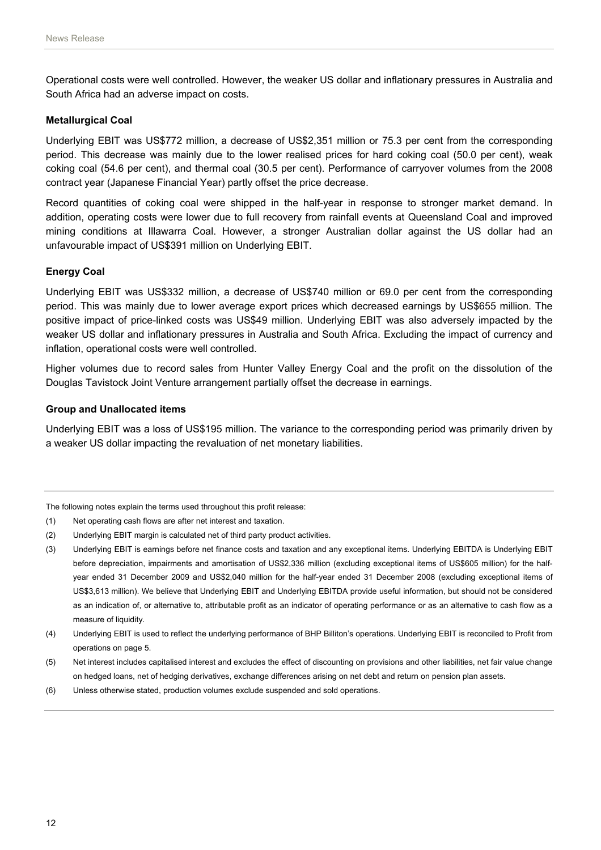Operational costs were well controlled. However, the weaker US dollar and inflationary pressures in Australia and South Africa had an adverse impact on costs.

#### **Metallurgical Coal**

Underlying EBIT was US\$772 million, a decrease of US\$2,351 million or 75.3 per cent from the corresponding period. This decrease was mainly due to the lower realised prices for hard coking coal (50.0 per cent), weak coking coal (54.6 per cent), and thermal coal (30.5 per cent). Performance of carryover volumes from the 2008 contract year (Japanese Financial Year) partly offset the price decrease.

Record quantities of coking coal were shipped in the half-year in response to stronger market demand. In addition, operating costs were lower due to full recovery from rainfall events at Queensland Coal and improved mining conditions at Illawarra Coal. However, a stronger Australian dollar against the US dollar had an unfavourable impact of US\$391 million on Underlying EBIT.

#### **Energy Coal**

Underlying EBIT was US\$332 million, a decrease of US\$740 million or 69.0 per cent from the corresponding period. This was mainly due to lower average export prices which decreased earnings by US\$655 million. The positive impact of price-linked costs was US\$49 million. Underlying EBIT was also adversely impacted by the weaker US dollar and inflationary pressures in Australia and South Africa. Excluding the impact of currency and inflation, operational costs were well controlled.

Higher volumes due to record sales from Hunter Valley Energy Coal and the profit on the dissolution of the Douglas Tavistock Joint Venture arrangement partially offset the decrease in earnings.

#### **Group and Unallocated items**

Underlying EBIT was a loss of US\$195 million. The variance to the corresponding period was primarily driven by a weaker US dollar impacting the revaluation of net monetary liabilities.

The following notes explain the terms used throughout this profit release:

- (1) Net operating cash flows are after net interest and taxation.
- (2) Underlying EBIT margin is calculated net of third party product activities.
- (3) Underlying EBIT is earnings before net finance costs and taxation and any exceptional items. Underlying EBITDA is Underlying EBIT before depreciation, impairments and amortisation of US\$2,336 million (excluding exceptional items of US\$605 million) for the halfyear ended 31 December 2009 and US\$2,040 million for the half-year ended 31 December 2008 (excluding exceptional items of US\$3,613 million). We believe that Underlying EBIT and Underlying EBITDA provide useful information, but should not be considered as an indication of, or alternative to, attributable profit as an indicator of operating performance or as an alternative to cash flow as a measure of liquidity.
- (4) Underlying EBIT is used to reflect the underlying performance of BHP Billiton's operations. Underlying EBIT is reconciled to Profit from operations on page 5.
- (5) Net interest includes capitalised interest and excludes the effect of discounting on provisions and other liabilities, net fair value change on hedged loans, net of hedging derivatives, exchange differences arising on net debt and return on pension plan assets.
- (6) Unless otherwise stated, production volumes exclude suspended and sold operations.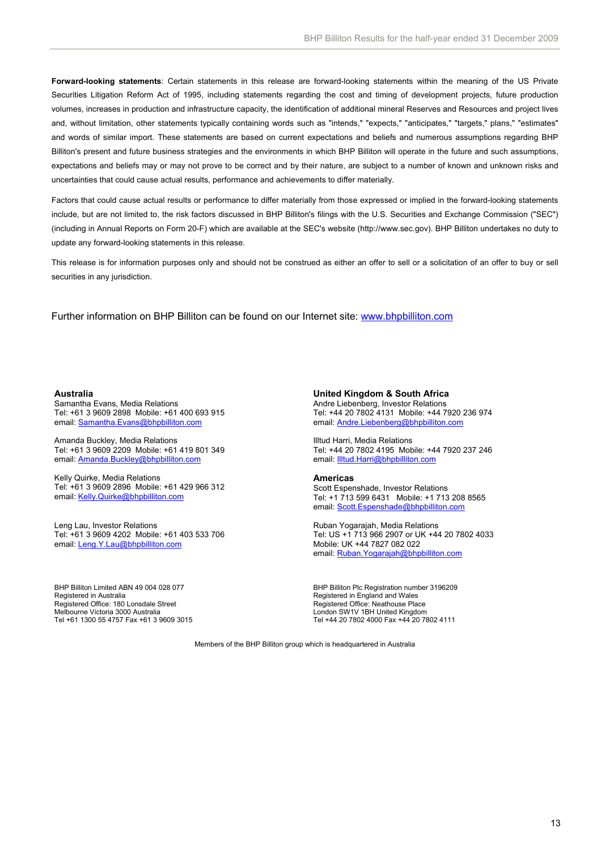**Forward-looking statements**: Certain statements in this release are forward-looking statements within the meaning of the US Private Securities Litigation Reform Act of 1995, including statements regarding the cost and timing of development projects, future production volumes, increases in production and infrastructure capacity, the identification of additional mineral Reserves and Resources and project lives and, without limitation, other statements typically containing words such as "intends," "expects," "anticipates," "targets," plans," "estimates" and words of similar import. These statements are based on current expectations and beliefs and numerous assumptions regarding BHP Billiton's present and future business strategies and the environments in which BHP Billiton will operate in the future and such assumptions, expectations and beliefs may or may not prove to be correct and by their nature, are subject to a number of known and unknown risks and uncertainties that could cause actual results, performance and achievements to differ materially.

Factors that could cause actual results or performance to differ materially from those expressed or implied in the forward-looking statements include, but are not limited to, the risk factors discussed in BHP Billiton's filings with the U.S. Securities and Exchange Commission ("SEC") (including in Annual Reports on Form 20-F) which are available at the SEC's website (http://www.sec.gov). BHP Billiton undertakes no duty to update any forward-looking statements in this release.

This release is for information purposes only and should not be construed as either an offer to sell or a solicitation of an offer to buy or sell securities in any jurisdiction.

Further information on BHP Billiton can be found on our Internet site: www.bhpbilliton.com

#### **Australia**

Samantha Evans, Media Relations Tel: +61 3 9609 2898 Mobile: +61 400 693 915 email: [Samantha.Evans@bhpbilliton.com](mailto:Samantha.Evans@bhpbilliton.com)

Amanda Buckley, Media Relations Tel: +61 3 9609 2209 Mobile: +61 419 801 349 email: [Amanda.Buckley@bhpbilliton.com](mailto:Amanda.Buckley@bhpbilliton.com)

Kelly Quirke, Media Relations Tel: +61 3 9609 2896 Mobile: +61 429 966 312 email: [Kelly.Quirke@bhpbilliton.com](mailto:Kelly.Quirke@bhpbilliton.com)

Leng Lau, Investor Relations Tel: +61 3 9609 4202 Mobile: +61 403 533 706 email: [Leng.Y.Lau@bhpbilliton.com](mailto:Leng.Y.Lau@bhpbilliton.com)

BHP Billiton Limited ABN 49 004 028 077 Registered in Australia Registered Office: 180 Lonsdale Street Melbourne Victoria 3000 Australia Tel +61 1300 55 4757 Fax +61 3 9609 3015 **United Kingdom & South Africa**  Andre Liebenberg, Investor Relations Tel: +44 20 7802 4131 Mobile: +44 7920 236 974 email: [Andre.Liebenberg@bhpbilliton.com](mailto:Andre.Liebenberg@bhpbilliton.com)

Illtud Harri, Media Relations Tel: +44 20 7802 4195 Mobile: +44 7920 237 246 email: [Illtud.Harri@bhpbilliton.com](mailto:Illtud.Harri@bhpbilliton.com)

#### **Americas**

Scott Espenshade, Investor Relations Tel: +1 713 599 6431 Mobile: +1 713 208 8565 email: [Scott.Espenshade@bhpbilliton.com](mailto:Scott.Espenshade@bhpbilliton.com)

Ruban Yogarajah, Media Relations Tel: US +1 713 966 2907 or UK +44 20 7802 4033 Mobile: UK +44 7827 082 022 email: [Ruban.Yogarajah@bhpbilliton.com](mailto:Ruban.Yogarajah@bhpbilliton.com)

BHP Billiton Plc Registration number 3196209 Registered in England and Wales Registered Office: Neathouse Place London SW1V 1BH United Kingdom Tel +44 20 7802 4000 Fax +44 20 7802 4111

Members of the BHP Billiton group which is headquartered in Australia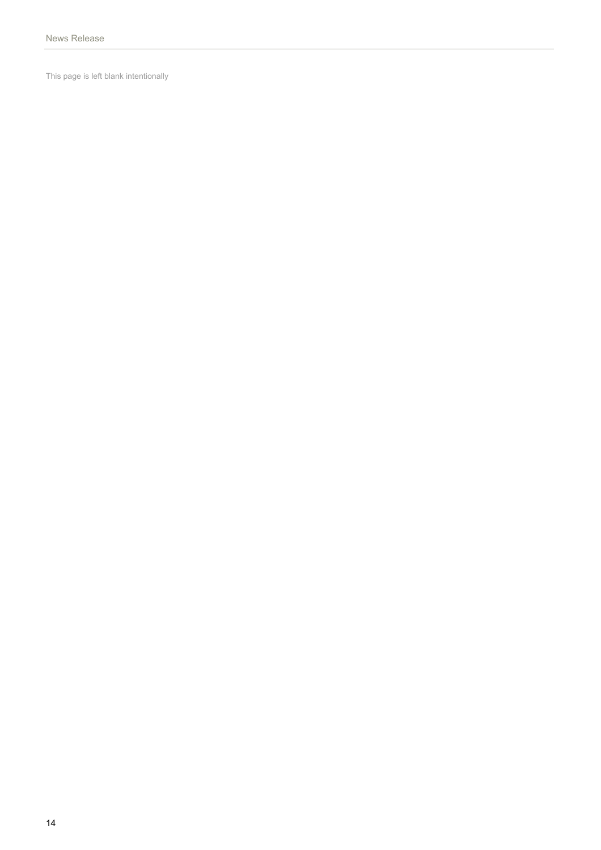This page is left blank intentionally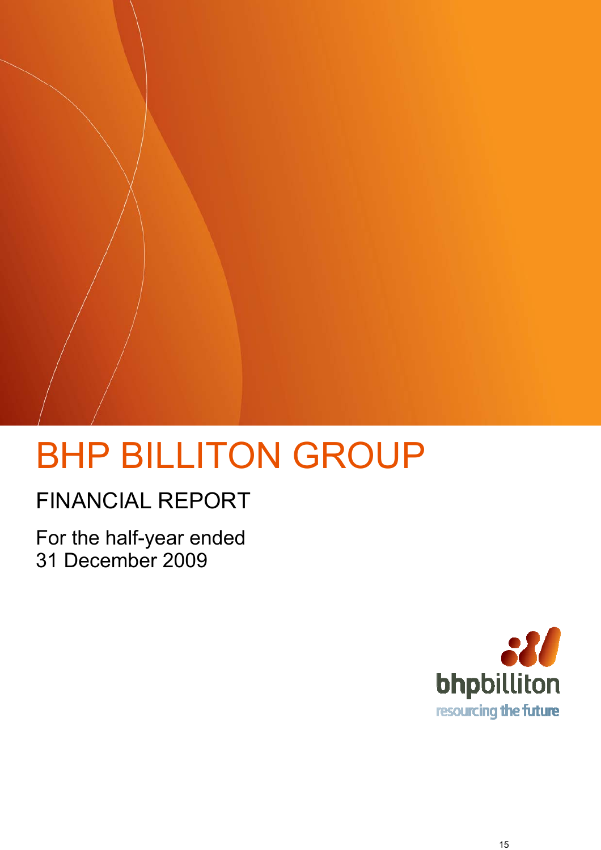

# BHP BILLITON GROUP

# FINANCIAL REPORT

For the half-year ended 31 December 2009

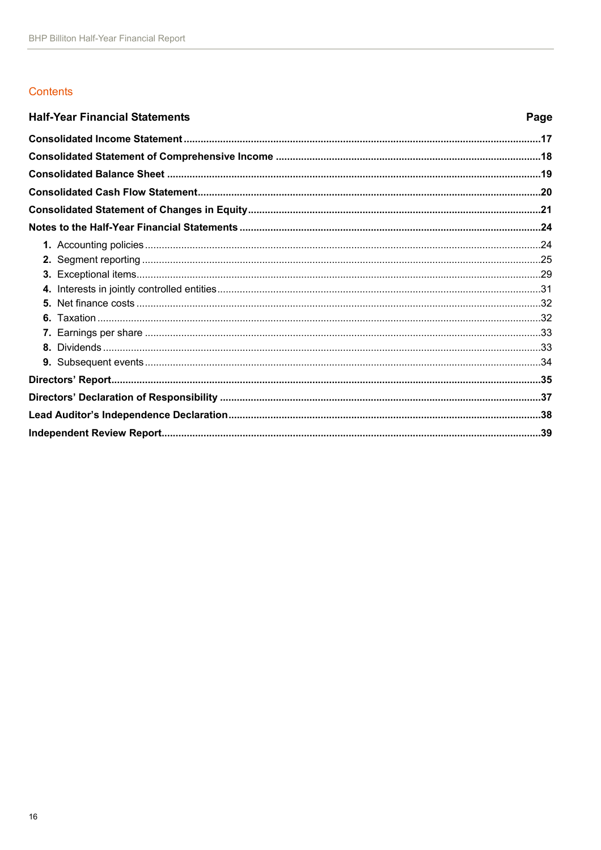#### **Contents**

| <b>Half-Year Financial Statements</b> | Page |
|---------------------------------------|------|
|                                       |      |
|                                       |      |
|                                       |      |
|                                       |      |
|                                       |      |
|                                       |      |
|                                       |      |
|                                       |      |
|                                       |      |
|                                       |      |
|                                       |      |
|                                       |      |
|                                       |      |
|                                       |      |
|                                       |      |
|                                       |      |
|                                       |      |
|                                       |      |
|                                       |      |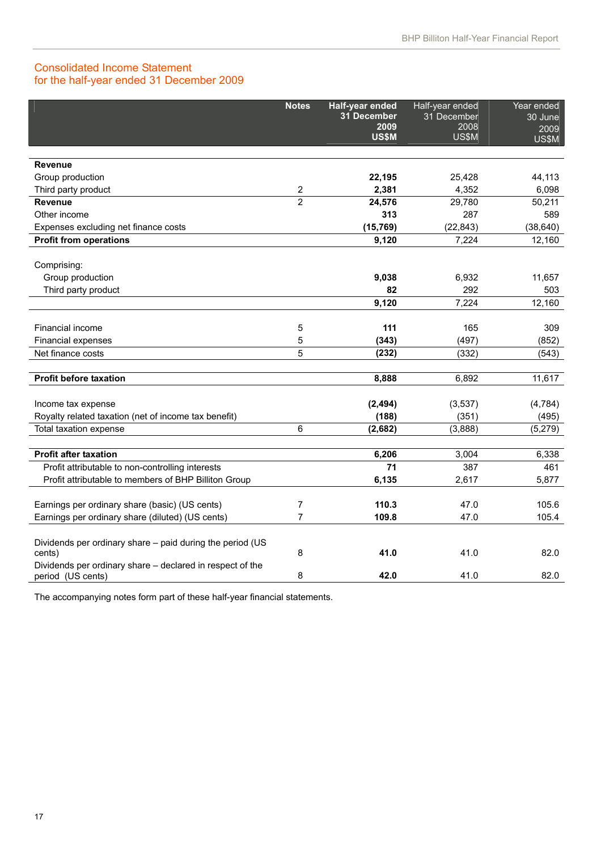#### <span id="page-16-0"></span>Consolidated Income Statement for the half-year ended 31 December 2009

|                                                                     | <b>Notes</b>     | Half-year ended<br>31 December | Half-year ended<br>31 December | Year ended<br>30 June |
|---------------------------------------------------------------------|------------------|--------------------------------|--------------------------------|-----------------------|
|                                                                     |                  | 2009                           | 2008                           | 2009                  |
|                                                                     |                  | <b>US\$M</b>                   | US\$M                          | <b>US\$M</b>          |
|                                                                     |                  |                                |                                |                       |
| <b>Revenue</b>                                                      |                  |                                |                                |                       |
| Group production                                                    |                  | 22,195                         | 25,428                         | 44,113                |
| Third party product                                                 | $\boldsymbol{2}$ | 2,381                          | 4,352                          | 6,098                 |
| Revenue                                                             | $\overline{2}$   | 24,576                         | 29,780                         | 50,211                |
| Other income                                                        |                  | 313                            | 287                            | 589                   |
| Expenses excluding net finance costs                                |                  | (15, 769)                      | (22, 843)                      | (38, 640)             |
| <b>Profit from operations</b>                                       |                  | 9,120                          | 7,224                          | 12,160                |
|                                                                     |                  |                                |                                |                       |
| Comprising:                                                         |                  |                                |                                |                       |
| Group production                                                    |                  | 9,038                          | 6,932                          | 11,657                |
| Third party product                                                 |                  | 82                             | 292                            | 503                   |
|                                                                     |                  | 9,120                          | 7,224                          | 12,160                |
|                                                                     |                  |                                |                                |                       |
| Financial income                                                    | 5                | 111                            | 165                            | 309                   |
| Financial expenses                                                  | 5                | (343)                          | (497)                          | (852)                 |
| Net finance costs                                                   | 5                | (232)                          | (332)                          | (543)                 |
|                                                                     |                  |                                |                                |                       |
| <b>Profit before taxation</b>                                       |                  | 8,888                          | 6,892                          | 11,617                |
|                                                                     |                  |                                |                                |                       |
| Income tax expense                                                  |                  | (2, 494)                       | (3,537)                        | (4, 784)              |
| Royalty related taxation (net of income tax benefit)                |                  | (188)                          | (351)                          | (495)                 |
| Total taxation expense                                              | 6                | (2,682)                        | (3,888)                        | (5,279)               |
|                                                                     |                  |                                |                                |                       |
| <b>Profit after taxation</b>                                        |                  | 6,206                          | 3,004                          | 6,338                 |
| Profit attributable to non-controlling interests                    |                  | 71                             | 387                            | 461                   |
| Profit attributable to members of BHP Billiton Group                |                  | 6,135                          | 2,617                          | 5,877                 |
|                                                                     |                  |                                |                                |                       |
| Earnings per ordinary share (basic) (US cents)                      | 7                | 110.3                          | 47.0                           | 105.6                 |
| Earnings per ordinary share (diluted) (US cents)                    | $\overline{7}$   | 109.8                          | 47.0                           | 105.4                 |
|                                                                     |                  |                                |                                |                       |
| Dividends per ordinary share - paid during the period (US<br>cents) | 8                | 41.0                           | 41.0                           | 82.0                  |
| Dividends per ordinary share - declared in respect of the           |                  |                                |                                |                       |
| period (US cents)                                                   | 8                | 42.0                           | 41.0                           | 82.0                  |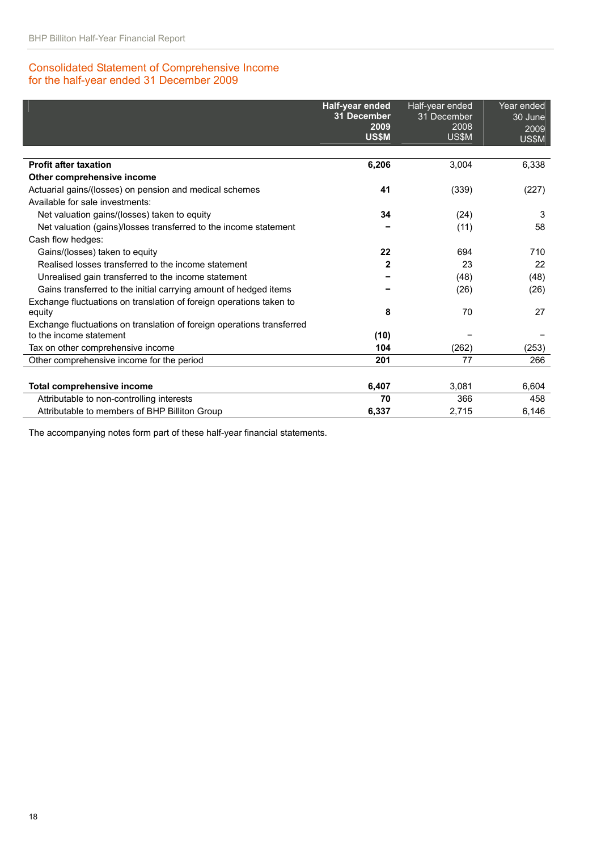#### <span id="page-17-0"></span>Consolidated Statement of Comprehensive Income for the half-year ended 31 December 2009

|                                                                        | Half-year ended<br>31 December<br>2009<br>US\$M | Half-year ended<br>31 December<br>2008<br><b>US\$M</b> | Year ended<br>30 June<br>2009<br>US\$M |
|------------------------------------------------------------------------|-------------------------------------------------|--------------------------------------------------------|----------------------------------------|
|                                                                        |                                                 |                                                        |                                        |
| <b>Profit after taxation</b>                                           | 6,206                                           | 3,004                                                  | 6,338                                  |
| Other comprehensive income                                             |                                                 |                                                        |                                        |
| Actuarial gains/(losses) on pension and medical schemes                | 41                                              | (339)                                                  | (227)                                  |
| Available for sale investments:                                        |                                                 |                                                        |                                        |
| Net valuation gains/(losses) taken to equity                           | 34                                              | (24)                                                   | 3                                      |
| Net valuation (gains)/losses transferred to the income statement       |                                                 | (11)                                                   | 58                                     |
| Cash flow hedges:                                                      |                                                 |                                                        |                                        |
| Gains/(losses) taken to equity                                         | 22                                              | 694                                                    | 710                                    |
| Realised losses transferred to the income statement                    | 2                                               | 23                                                     | 22                                     |
| Unrealised gain transferred to the income statement                    |                                                 | (48)                                                   | (48)                                   |
| Gains transferred to the initial carrying amount of hedged items       |                                                 | (26)                                                   | (26)                                   |
| Exchange fluctuations on translation of foreign operations taken to    |                                                 |                                                        |                                        |
| equity                                                                 | 8                                               | 70                                                     | 27                                     |
| Exchange fluctuations on translation of foreign operations transferred |                                                 |                                                        |                                        |
| to the income statement                                                | (10)                                            |                                                        |                                        |
| Tax on other comprehensive income                                      | 104                                             | (262)                                                  | (253)                                  |
| Other comprehensive income for the period                              | 201                                             | 77                                                     | 266                                    |
|                                                                        |                                                 |                                                        |                                        |
| Total comprehensive income                                             | 6,407                                           | 3,081                                                  | 6,604                                  |
| Attributable to non-controlling interests                              | 70                                              | 366                                                    | 458                                    |
| Attributable to members of BHP Billiton Group                          | 6,337                                           | 2,715                                                  | 6,146                                  |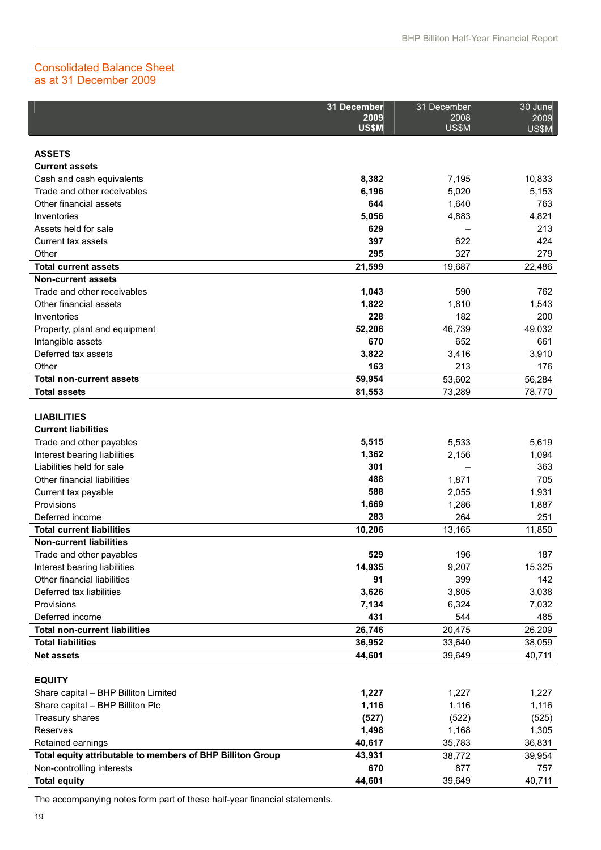#### <span id="page-18-0"></span>Consolidated Balance Sheet as at 31 December 2009

|                                                            | 31 December | 31 December | 30 June |
|------------------------------------------------------------|-------------|-------------|---------|
|                                                            | 2009        | 2008        | 2009    |
|                                                            | US\$M       | US\$M       | US\$M   |
|                                                            |             |             |         |
| <b>ASSETS</b>                                              |             |             |         |
| <b>Current assets</b>                                      |             |             |         |
| Cash and cash equivalents                                  | 8,382       | 7,195       | 10,833  |
| Trade and other receivables                                | 6,196       | 5,020       | 5,153   |
| Other financial assets                                     | 644         | 1,640       | 763     |
| Inventories                                                | 5,056       | 4,883       | 4,821   |
| Assets held for sale                                       | 629         |             | 213     |
| Current tax assets                                         | 397         | 622         | 424     |
| Other                                                      | 295         | 327         | 279     |
| <b>Total current assets</b>                                | 21,599      | 19,687      | 22,486  |
| <b>Non-current assets</b>                                  |             |             |         |
| Trade and other receivables                                | 1,043       | 590         | 762     |
| Other financial assets                                     | 1,822       | 1,810       | 1,543   |
| Inventories                                                | 228         | 182         | 200     |
| Property, plant and equipment                              | 52,206      | 46,739      | 49,032  |
| Intangible assets                                          | 670         | 652         | 661     |
| Deferred tax assets                                        | 3,822       | 3,416       | 3,910   |
| Other                                                      | 163         | 213         | 176     |
| <b>Total non-current assets</b>                            | 59,954      | 53,602      | 56,284  |
| <b>Total assets</b>                                        | 81,553      | 73,289      | 78,770  |
|                                                            |             |             |         |
| <b>LIABILITIES</b>                                         |             |             |         |
| <b>Current liabilities</b>                                 |             |             |         |
| Trade and other payables                                   | 5,515       | 5,533       | 5,619   |
|                                                            | 1,362       | 2,156       | 1,094   |
| Interest bearing liabilities<br>Liabilities held for sale  | 301         |             | 363     |
|                                                            |             |             |         |
| Other financial liabilities                                | 488         | 1,871       | 705     |
| Current tax payable                                        | 588         | 2,055       | 1,931   |
| Provisions                                                 | 1,669       | 1,286       | 1,887   |
| Deferred income                                            | 283         | 264         | 251     |
| <b>Total current liabilities</b>                           | 10,206      | 13,165      | 11,850  |
| <b>Non-current liabilities</b>                             |             |             |         |
| Trade and other payables                                   | 529         | 196         | 187     |
| Interest bearing liabilities                               | 14,935      | 9,207       | 15,325  |
| Other financial liabilities                                | 91          | 399         | 142     |
| Deferred tax liabilities                                   | 3,626       | 3,805       | 3,038   |
| Provisions                                                 | 7,134       | 6,324       | 7,032   |
| Deferred income                                            | 431         | 544         | 485     |
| <b>Total non-current liabilities</b>                       | 26,746      | 20,475      | 26,209  |
| <b>Total liabilities</b>                                   | 36,952      | 33,640      | 38,059  |
| <b>Net assets</b>                                          | 44,601      | 39,649      | 40,711  |
|                                                            |             |             |         |
| <b>EQUITY</b>                                              |             |             |         |
| Share capital - BHP Billiton Limited                       | 1,227       | 1,227       | 1,227   |
| Share capital - BHP Billiton Plc                           | 1,116       | 1,116       | 1,116   |
| Treasury shares                                            | (527)       | (522)       | (525)   |
| Reserves                                                   | 1,498       | 1,168       | 1,305   |
| Retained earnings                                          | 40,617      | 35,783      | 36,831  |
| Total equity attributable to members of BHP Billiton Group | 43,931      | 38,772      | 39,954  |
| Non-controlling interests                                  | 670         | 877         | 757     |
| <b>Total equity</b>                                        | 44,601      | 39,649      | 40,711  |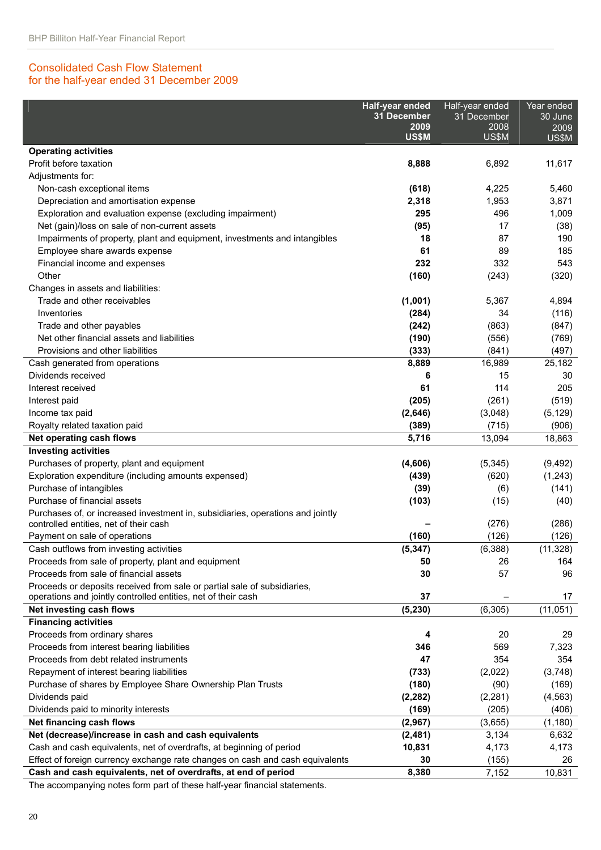#### <span id="page-19-0"></span>Consolidated Cash Flow Statement for the half-year ended 31 December 2009

|                                                                                                                                           | Half-year ended     | Half-year ended     | Year ended    |
|-------------------------------------------------------------------------------------------------------------------------------------------|---------------------|---------------------|---------------|
|                                                                                                                                           | 31 December<br>2009 | 31 December<br>2008 | 30 June       |
|                                                                                                                                           | US\$M               | US\$M               | 2009<br>US\$M |
| <b>Operating activities</b>                                                                                                               |                     |                     |               |
| Profit before taxation                                                                                                                    | 8,888               | 6,892               | 11,617        |
| Adjustments for:                                                                                                                          |                     |                     |               |
| Non-cash exceptional items                                                                                                                | (618)               | 4,225               | 5,460         |
| Depreciation and amortisation expense                                                                                                     | 2,318               | 1,953               | 3,871         |
| Exploration and evaluation expense (excluding impairment)                                                                                 | 295                 | 496                 | 1,009         |
| Net (gain)/loss on sale of non-current assets                                                                                             | (95)                | 17                  | (38)          |
| Impairments of property, plant and equipment, investments and intangibles                                                                 | 18                  | 87                  | 190           |
| Employee share awards expense                                                                                                             | 61                  | 89                  | 185           |
| Financial income and expenses                                                                                                             | 232                 | 332                 | 543           |
| Other                                                                                                                                     | (160)               | (243)               | (320)         |
| Changes in assets and liabilities:                                                                                                        |                     |                     |               |
| Trade and other receivables                                                                                                               | (1,001)             | 5,367               | 4,894         |
| Inventories                                                                                                                               | (284)               | 34                  | (116)         |
| Trade and other payables                                                                                                                  | (242)               | (863)               | (847)         |
| Net other financial assets and liabilities                                                                                                | (190)               | (556)               | (769)         |
| Provisions and other liabilities                                                                                                          | (333)               | (841)               | (497)         |
| Cash generated from operations                                                                                                            | 8,889               | 16,989              | 25,182        |
| Dividends received                                                                                                                        | 6                   | 15                  | 30            |
| Interest received                                                                                                                         | 61                  | 114                 | 205           |
| Interest paid                                                                                                                             | (205)               | (261)               | (519)         |
| Income tax paid                                                                                                                           | (2,646)             | (3,048)             | (5, 129)      |
| Royalty related taxation paid                                                                                                             | (389)               | (715)               | (906)         |
| Net operating cash flows                                                                                                                  | 5,716               | 13,094              | 18,863        |
| <b>Investing activities</b>                                                                                                               |                     |                     |               |
| Purchases of property, plant and equipment                                                                                                | (4,606)             | (5, 345)            | (9, 492)      |
| Exploration expenditure (including amounts expensed)                                                                                      | (439)               | (620)               | (1, 243)      |
| Purchase of intangibles                                                                                                                   | (39)                | (6)                 | (141)         |
| Purchase of financial assets                                                                                                              | (103)               | (15)                | (40)          |
| Purchases of, or increased investment in, subsidiaries, operations and jointly<br>controlled entities, net of their cash                  |                     | (276)               | (286)         |
| Payment on sale of operations                                                                                                             | (160)               | (126)               | (126)         |
| Cash outflows from investing activities                                                                                                   | (5, 347)            | (6, 388)            | (11, 328)     |
| Proceeds from sale of property, plant and equipment                                                                                       | 50                  | 26                  | 164           |
| Proceeds from sale of financial assets                                                                                                    | 30                  | 57                  | 96            |
| Proceeds or deposits received from sale or partial sale of subsidiaries,<br>operations and jointly controlled entities, net of their cash | 37                  |                     | 17            |
| Net investing cash flows                                                                                                                  | (5, 230)            | (6, 305)            | (11, 051)     |
| <b>Financing activities</b>                                                                                                               |                     |                     |               |
| Proceeds from ordinary shares                                                                                                             | 4                   | 20                  | 29            |
| Proceeds from interest bearing liabilities                                                                                                | 346                 | 569                 | 7,323         |
| Proceeds from debt related instruments                                                                                                    | 47                  | 354                 | 354           |
| Repayment of interest bearing liabilities                                                                                                 | (733)               | (2,022)             | (3,748)       |
| Purchase of shares by Employee Share Ownership Plan Trusts                                                                                | (180)               | (90)                | (169)         |
| Dividends paid                                                                                                                            | (2, 282)            | (2, 281)            | (4, 563)      |
| Dividends paid to minority interests                                                                                                      | (169)               | (205)               | (406)         |
| Net financing cash flows                                                                                                                  | (2,967)             | (3,655)             | (1, 180)      |
| Net (decrease)/increase in cash and cash equivalents                                                                                      | (2, 481)            | 3,134               | 6,632         |
| Cash and cash equivalents, net of overdrafts, at beginning of period                                                                      | 10,831              | 4,173               | 4,173         |
| Effect of foreign currency exchange rate changes on cash and cash equivalents                                                             | 30                  | (155)               | 26            |
| Cash and cash equivalents, net of overdrafts, at end of period                                                                            | 8,380               | 7,152               | 10,831        |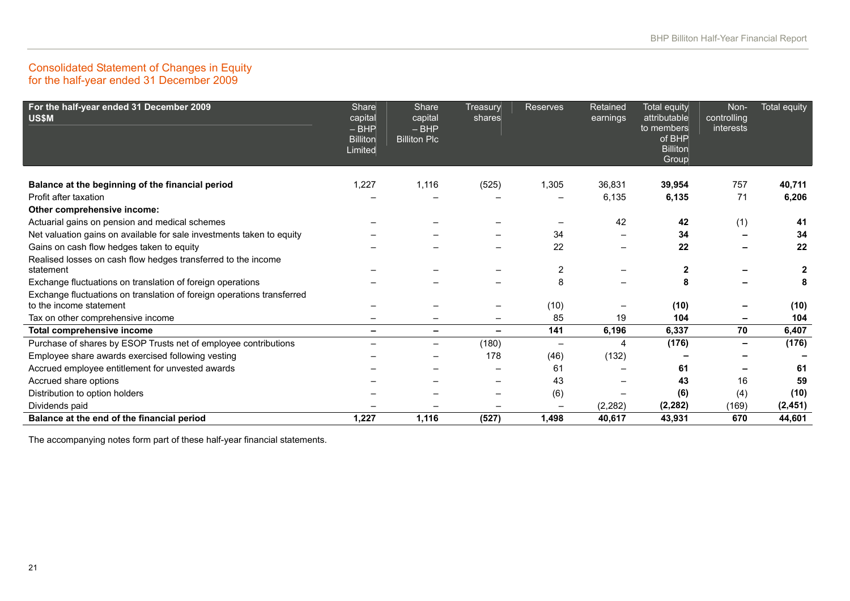#### Consolidated Statement of Changes in Equity for the half-year ended 31 December 2009

<span id="page-20-0"></span>

| For the half-year ended 31 December 2009<br>US\$M                      | Share<br>capital<br>$-$ BHP<br><b>Billiton</b><br>Limited | Share<br>capital<br>$-$ BHP<br><b>Billiton Plc</b> | Treasury<br>shares       | Reserves          | Retained<br>earnings | Total equity<br>attributable<br>to members<br>of BHP<br><b>Billiton</b><br>Group | Non-<br>controlling<br>interests | Total equity |
|------------------------------------------------------------------------|-----------------------------------------------------------|----------------------------------------------------|--------------------------|-------------------|----------------------|----------------------------------------------------------------------------------|----------------------------------|--------------|
| Balance at the beginning of the financial period                       | 1,227                                                     | 1,116                                              | (525)                    | 1,305             | 36,831               | 39,954                                                                           | 757                              | 40,711       |
| Profit after taxation                                                  |                                                           |                                                    |                          |                   | 6,135                | 6,135                                                                            | 71                               | 6,206        |
| Other comprehensive income:                                            |                                                           |                                                    |                          |                   |                      |                                                                                  |                                  |              |
| Actuarial gains on pension and medical schemes                         |                                                           |                                                    |                          |                   | 42                   | 42                                                                               | (1)                              | 41           |
| Net valuation gains on available for sale investments taken to equity  |                                                           |                                                    |                          | 34                |                      | 34                                                                               |                                  | 34           |
| Gains on cash flow hedges taken to equity                              |                                                           |                                                    |                          | 22                |                      | 22                                                                               |                                  | 22           |
| Realised losses on cash flow hedges transferred to the income          |                                                           |                                                    |                          |                   |                      |                                                                                  |                                  |              |
| statement                                                              |                                                           |                                                    |                          | 2                 |                      | $\mathbf{2}$                                                                     |                                  | $\mathbf{2}$ |
| Exchange fluctuations on translation of foreign operations             |                                                           |                                                    |                          | 8                 |                      | 8                                                                                |                                  | 8            |
| Exchange fluctuations on translation of foreign operations transferred |                                                           |                                                    |                          |                   |                      |                                                                                  |                                  |              |
| to the income statement                                                |                                                           |                                                    |                          | (10)              |                      | (10)                                                                             |                                  | (10)         |
| Tax on other comprehensive income                                      |                                                           |                                                    | $\overline{\phantom{0}}$ | 85                | 19                   | 104                                                                              | $\qquad \qquad \blacksquare$     | 104          |
| Total comprehensive income                                             | $\overline{\phantom{a}}$                                  | $\qquad \qquad$                                    | $\qquad \qquad$          | 141               | 6,196                | 6,337                                                                            | 70                               | 6,407        |
| Purchase of shares by ESOP Trusts net of employee contributions        |                                                           | $\overline{\phantom{m}}$                           | (180)                    | $\qquad \qquad -$ | 4                    | (176)                                                                            | $\overline{\phantom{m}}$         | (176)        |
| Employee share awards exercised following vesting                      |                                                           |                                                    | 178                      | (46)              | (132)                |                                                                                  |                                  |              |
| Accrued employee entitlement for unvested awards                       |                                                           |                                                    |                          | 61                |                      | 61                                                                               |                                  | 61           |
| Accrued share options                                                  |                                                           |                                                    |                          | 43                |                      | 43                                                                               | 16                               | 59           |
| Distribution to option holders                                         |                                                           |                                                    |                          | (6)               |                      | (6)                                                                              | (4)                              | (10)         |
| Dividends paid                                                         |                                                           |                                                    |                          |                   | (2, 282)             | (2, 282)                                                                         | (169)                            | (2, 451)     |
| Balance at the end of the financial period                             | 1,227                                                     | 1,116                                              | (527)                    | 1,498             | 40,617               | 43,931                                                                           | 670                              | 44,601       |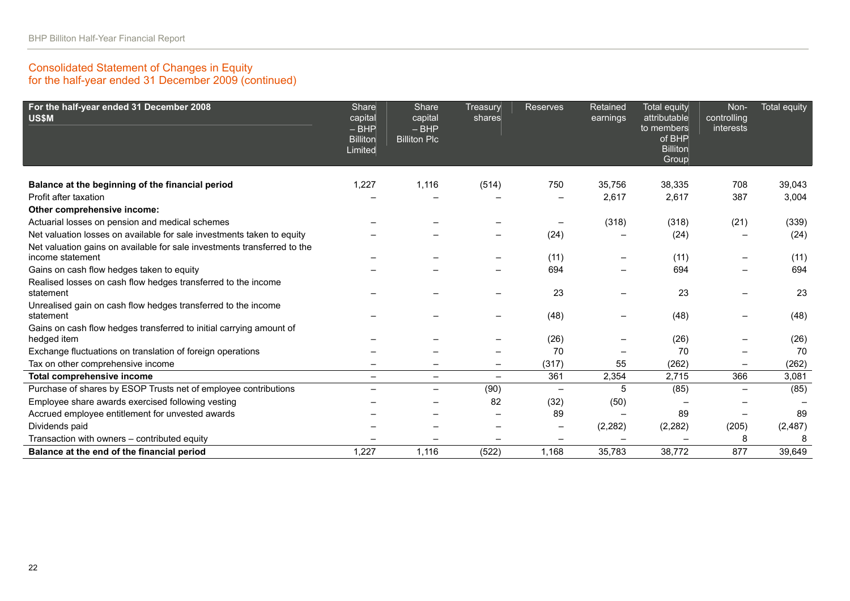#### Consolidated Statement of Changes in Equity for the half-year ended 31 December 2009 (continued)

| For the half-year ended 31 December 2008<br><b>US\$M</b>                   | Share<br>capital<br>$-$ BHP<br><b>Billiton</b><br>Limited | Share<br>capital<br>$-BHP$<br><b>Billiton Plc</b> | Treasury<br>shares | Reserves | Retained<br>earnings | <b>Total equity</b><br>attributable<br>to members<br>of BHP<br><b>Billiton</b><br>Group | Non-<br>controlling<br>interests | <b>Total equity</b> |
|----------------------------------------------------------------------------|-----------------------------------------------------------|---------------------------------------------------|--------------------|----------|----------------------|-----------------------------------------------------------------------------------------|----------------------------------|---------------------|
| Balance at the beginning of the financial period                           | 1,227                                                     | 1,116                                             | (514)              | 750      | 35,756               | 38,335                                                                                  | 708                              | 39,043              |
| Profit after taxation                                                      |                                                           |                                                   |                    |          | 2,617                | 2,617                                                                                   | 387                              | 3,004               |
| Other comprehensive income:                                                |                                                           |                                                   |                    |          |                      |                                                                                         |                                  |                     |
| Actuarial losses on pension and medical schemes                            |                                                           |                                                   |                    |          | (318)                | (318)                                                                                   | (21)                             | (339)               |
| Net valuation losses on available for sale investments taken to equity     |                                                           |                                                   |                    | (24)     |                      | (24)                                                                                    |                                  | (24)                |
| Net valuation gains on available for sale investments transferred to the   |                                                           |                                                   |                    |          |                      |                                                                                         |                                  |                     |
| income statement                                                           |                                                           |                                                   |                    | (11)     |                      | (11)                                                                                    |                                  | (11)                |
| Gains on cash flow hedges taken to equity                                  |                                                           |                                                   |                    | 694      |                      | 694                                                                                     |                                  | 694                 |
| Realised losses on cash flow hedges transferred to the income<br>statement |                                                           |                                                   |                    | 23       |                      | 23                                                                                      |                                  | 23                  |
| Unrealised gain on cash flow hedges transferred to the income<br>statement |                                                           |                                                   |                    | (48)     |                      | (48)                                                                                    |                                  | (48)                |
| Gains on cash flow hedges transferred to initial carrying amount of        |                                                           |                                                   |                    |          |                      |                                                                                         |                                  |                     |
| hedged item                                                                |                                                           |                                                   |                    | (26)     |                      | (26)                                                                                    |                                  | (26)                |
| Exchange fluctuations on translation of foreign operations                 |                                                           |                                                   |                    | 70       |                      | 70                                                                                      |                                  | 70                  |
| Tax on other comprehensive income                                          |                                                           |                                                   |                    | (317)    | 55                   | (262)                                                                                   |                                  | (262)               |
| <b>Total comprehensive income</b>                                          | $\overline{\phantom{0}}$                                  | $\overline{\phantom{0}}$                          | $\qquad \qquad -$  | 361      | 2,354                | 2,715                                                                                   | 366                              | 3,081               |
| Purchase of shares by ESOP Trusts net of employee contributions            |                                                           | —                                                 | (90)               |          | 5                    | (85)                                                                                    | $\overline{\phantom{m}}$         | (85)                |
| Employee share awards exercised following vesting                          |                                                           |                                                   | 82                 | (32)     | (50)                 |                                                                                         |                                  |                     |
| Accrued employee entitlement for unvested awards                           |                                                           |                                                   |                    | 89       |                      | 89                                                                                      |                                  | 89                  |
| Dividends paid                                                             |                                                           |                                                   |                    |          | (2, 282)             | (2, 282)                                                                                | (205)                            | (2, 487)            |
| Transaction with owners - contributed equity                               |                                                           |                                                   |                    |          |                      |                                                                                         | 8                                | 8                   |
| Balance at the end of the financial period                                 | 1,227                                                     | 1,116                                             | (522)              | 1,168    | 35,783               | 38,772                                                                                  | 877                              | 39,649              |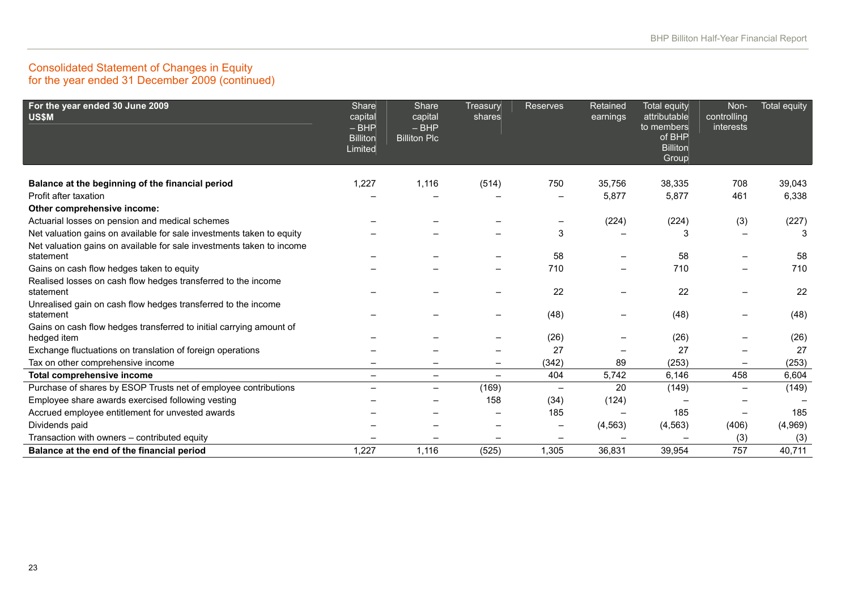#### Consolidated Statement of Changes in Equity for the year ended 31 December 2009 (continued)

| For the year ended 30 June 2009<br>US\$M                                  | Share<br>capital<br>$-$ BHP<br><b>Billiton</b><br>Limited | Share<br>capital<br>$-$ BHP<br><b>Billiton Plc</b> | Treasury<br>shares       | Reserves          | Retained<br>earnings | <b>Total equity</b><br>attributable<br>to members<br>of BHP<br><b>Billiton</b><br>Group | Non-<br>controlling<br>interests | Total equity |
|---------------------------------------------------------------------------|-----------------------------------------------------------|----------------------------------------------------|--------------------------|-------------------|----------------------|-----------------------------------------------------------------------------------------|----------------------------------|--------------|
| Balance at the beginning of the financial period                          | 1,227                                                     | 1,116                                              | (514)                    | 750               | 35,756               | 38,335                                                                                  | 708                              | 39,043       |
| Profit after taxation                                                     |                                                           |                                                    |                          |                   | 5,877                | 5,877                                                                                   | 461                              | 6,338        |
| Other comprehensive income:                                               |                                                           |                                                    |                          |                   |                      |                                                                                         |                                  |              |
| Actuarial losses on pension and medical schemes                           |                                                           |                                                    |                          |                   | (224)                | (224)                                                                                   | (3)                              | (227)        |
| Net valuation gains on available for sale investments taken to equity     |                                                           |                                                    |                          | 3                 |                      | 3                                                                                       |                                  | 3            |
| Net valuation gains on available for sale investments taken to income     |                                                           |                                                    |                          |                   |                      |                                                                                         |                                  |              |
| statement                                                                 |                                                           |                                                    |                          | 58                |                      | 58                                                                                      |                                  | 58           |
| Gains on cash flow hedges taken to equity                                 |                                                           |                                                    |                          | 710               |                      | 710                                                                                     |                                  | 710          |
| Realised losses on cash flow hedges transferred to the income             |                                                           |                                                    |                          |                   |                      |                                                                                         |                                  |              |
| statement                                                                 |                                                           |                                                    |                          | 22                |                      | 22                                                                                      |                                  | 22           |
| Unrealised gain on cash flow hedges transferred to the income             |                                                           |                                                    |                          |                   |                      |                                                                                         |                                  |              |
| statement                                                                 |                                                           |                                                    |                          | (48)              |                      | (48)                                                                                    |                                  | (48)         |
| Gains on cash flow hedges transferred to initial carrying amount of       |                                                           |                                                    |                          | (26)              |                      | (26)                                                                                    |                                  | (26)         |
| hedged item<br>Exchange fluctuations on translation of foreign operations |                                                           |                                                    |                          | 27                |                      | 27                                                                                      |                                  | 27           |
| Tax on other comprehensive income                                         |                                                           |                                                    |                          | (342)             | 89                   | (253)                                                                                   |                                  | (253)        |
| <b>Total comprehensive income</b>                                         | $\overline{\phantom{0}}$                                  | $\overline{\phantom{0}}$                           | $\overline{\phantom{0}}$ | 404               | 5,742                | 6,146                                                                                   | 458                              | 6,604        |
|                                                                           |                                                           |                                                    |                          |                   |                      |                                                                                         |                                  |              |
| Purchase of shares by ESOP Trusts net of employee contributions           |                                                           | -                                                  | (169)                    | $\qquad \qquad -$ | 20                   | (149)                                                                                   | $\qquad \qquad -$                | (149)        |
| Employee share awards exercised following vesting                         |                                                           |                                                    | 158                      | (34)              | (124)                |                                                                                         |                                  |              |
| Accrued employee entitlement for unvested awards                          |                                                           |                                                    |                          | 185               |                      | 185                                                                                     |                                  | 185          |
| Dividends paid                                                            |                                                           |                                                    |                          |                   | (4, 563)             | (4, 563)                                                                                | (406)                            | (4,969)      |
| Transaction with owners - contributed equity                              |                                                           |                                                    |                          |                   |                      |                                                                                         | (3)                              | (3)          |
| Balance at the end of the financial period                                | 1,227                                                     | 1,116                                              | (525)                    | 1,305             | 36,831               | 39,954                                                                                  | 757                              | 40,711       |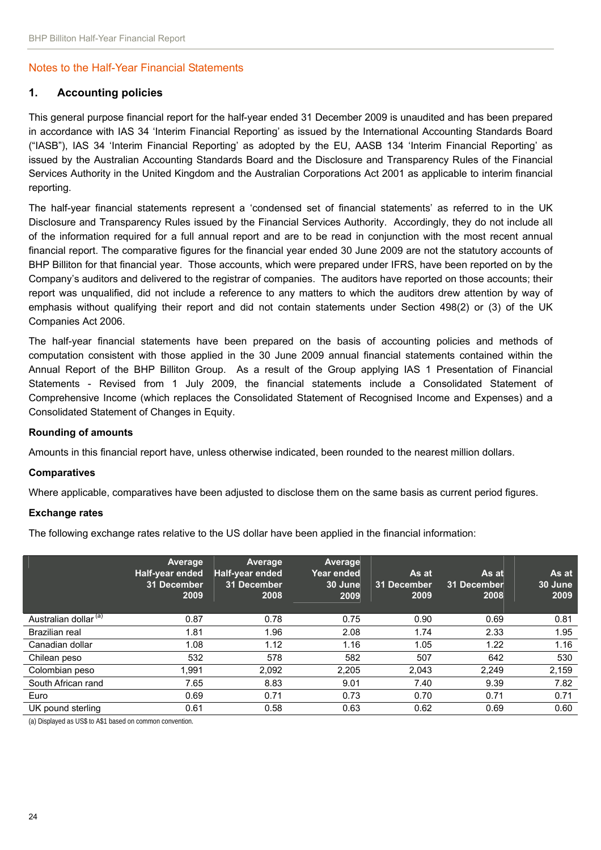#### <span id="page-23-0"></span>Notes to the Half-Year Financial Statements

#### <span id="page-23-1"></span>**1. Accounting policies**

This general purpose financial report for the half-year ended 31 December 2009 is unaudited and has been prepared in accordance with IAS 34 'Interim Financial Reporting' as issued by the International Accounting Standards Board ("IASB"), IAS 34 'Interim Financial Reporting' as adopted by the EU, AASB 134 'Interim Financial Reporting' as issued by the Australian Accounting Standards Board and the Disclosure and Transparency Rules of the Financial Services Authority in the United Kingdom and the Australian Corporations Act 2001 as applicable to interim financial reporting.

The half-year financial statements represent a 'condensed set of financial statements' as referred to in the UK Disclosure and Transparency Rules issued by the Financial Services Authority. Accordingly, they do not include all of the information required for a full annual report and are to be read in conjunction with the most recent annual financial report. The comparative figures for the financial year ended 30 June 2009 are not the statutory accounts of BHP Billiton for that financial year. Those accounts, which were prepared under IFRS, have been reported on by the Company's auditors and delivered to the registrar of companies. The auditors have reported on those accounts; their report was unqualified, did not include a reference to any matters to which the auditors drew attention by way of emphasis without qualifying their report and did not contain statements under Section 498(2) or (3) of the UK Companies Act 2006.

The half-year financial statements have been prepared on the basis of accounting policies and methods of computation consistent with those applied in the 30 June 2009 annual financial statements contained within the Annual Report of the BHP Billiton Group. As a result of the Group applying IAS 1 Presentation of Financial Statements - Revised from 1 July 2009, the financial statements include a Consolidated Statement of Comprehensive Income (which replaces the Consolidated Statement of Recognised Income and Expenses) and a Consolidated Statement of Changes in Equity.

#### **Rounding of amounts**

Amounts in this financial report have, unless otherwise indicated, been rounded to the nearest million dollars.

#### **Comparatives**

Where applicable, comparatives have been adjusted to disclose them on the same basis as current period figures.

#### **Exchange rates**

The following exchange rates relative to the US dollar have been applied in the financial information:

|                                  | Average<br>Half-year ended<br>31 December<br>2009 | <b>Average</b><br>Half-year ended<br>31 December<br>2008 | Average<br><b>Year ended</b><br>30 June<br>2009 | As at<br>31 December<br>2009 | As at<br>31 December<br>2008 | As at<br>30 June<br>2009 |
|----------------------------------|---------------------------------------------------|----------------------------------------------------------|-------------------------------------------------|------------------------------|------------------------------|--------------------------|
| Australian dollar <sup>(a)</sup> | 0.87                                              | 0.78                                                     | 0.75                                            | 0.90                         | 0.69                         | 0.81                     |
| Brazilian real                   | 1.81                                              | 1.96                                                     | 2.08                                            | 1.74                         | 2.33                         | 1.95                     |
| Canadian dollar                  | 1.08                                              | 1.12                                                     | 1.16                                            | 1.05                         | 1.22                         | 1.16                     |
| Chilean peso                     | 532                                               | 578                                                      | 582                                             | 507                          | 642                          | 530                      |
| Colombian peso                   | 1,991                                             | 2.092                                                    | 2.205                                           | 2.043                        | 2.249                        | 2,159                    |
| South African rand               | 7.65                                              | 8.83                                                     | 9.01                                            | 7.40                         | 9.39                         | 7.82                     |
| Euro                             | 0.69                                              | 0.71                                                     | 0.73                                            | 0.70                         | 0.71                         | 0.71                     |
| UK pound sterling                | 0.61                                              | 0.58                                                     | 0.63                                            | 0.62                         | 0.69                         | 0.60                     |

(a) Displayed as US\$ to A\$1 based on common convention.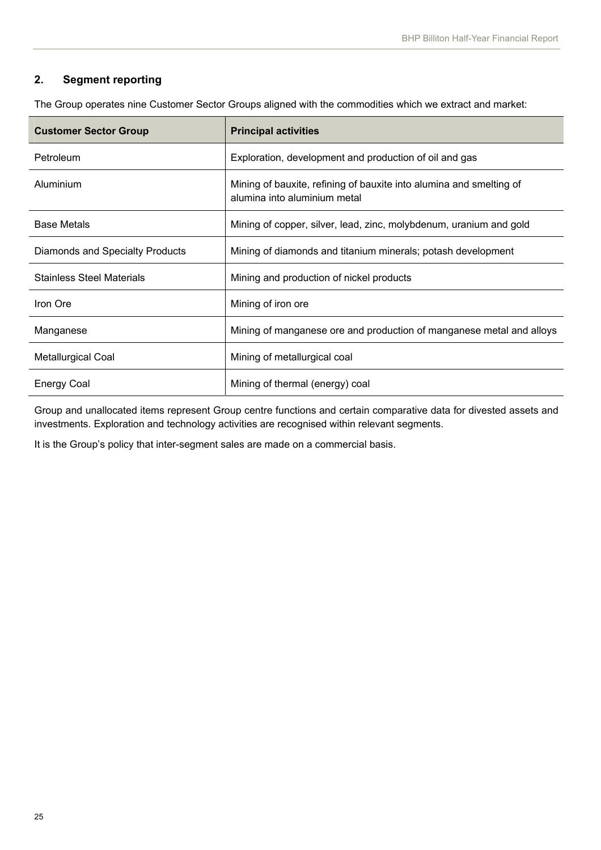#### <span id="page-24-0"></span>**2. Segment reporting**

The Group operates nine Customer Sector Groups aligned with the commodities which we extract and market:

| <b>Customer Sector Group</b>     | <b>Principal activities</b>                                                                         |
|----------------------------------|-----------------------------------------------------------------------------------------------------|
| Petroleum                        | Exploration, development and production of oil and gas                                              |
| Aluminium                        | Mining of bauxite, refining of bauxite into alumina and smelting of<br>alumina into aluminium metal |
| <b>Base Metals</b>               | Mining of copper, silver, lead, zinc, molybdenum, uranium and gold                                  |
| Diamonds and Specialty Products  | Mining of diamonds and titanium minerals; potash development                                        |
| <b>Stainless Steel Materials</b> | Mining and production of nickel products                                                            |
| Iron Ore                         | Mining of iron ore                                                                                  |
| Manganese                        | Mining of manganese ore and production of manganese metal and alloys                                |
| <b>Metallurgical Coal</b>        | Mining of metallurgical coal                                                                        |
| Energy Coal                      | Mining of thermal (energy) coal                                                                     |

Group and unallocated items represent Group centre functions and certain comparative data for divested assets and investments. Exploration and technology activities are recognised within relevant segments.

It is the Group's policy that inter-segment sales are made on a commercial basis.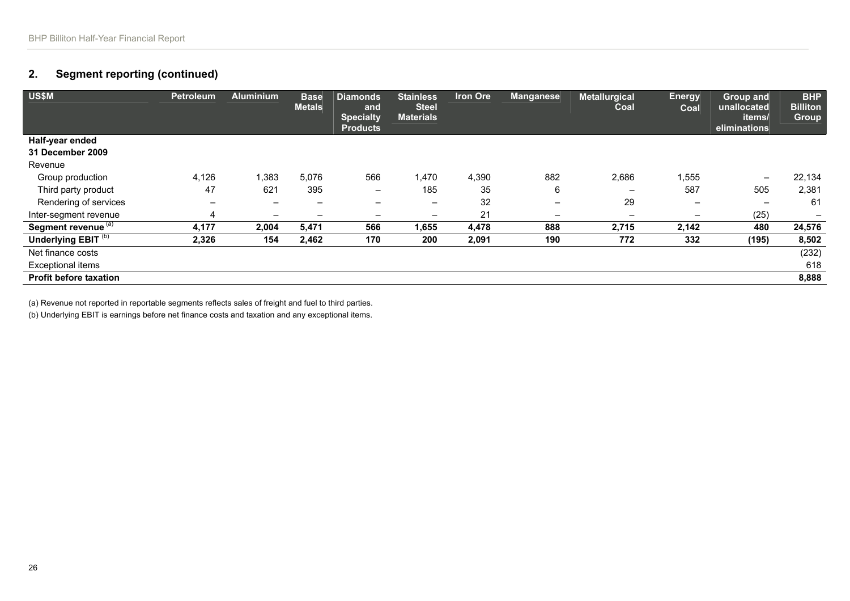# **2. Segment reporting (continued)**

| US\$M                          | <b>Petroleum</b>         | Aluminium                | <b>Base</b><br><b>Metals</b> | <b>Diamonds</b><br>and<br><b>Specialty</b><br><b>Products</b> | <b>Stainless</b><br><b>Steel</b><br><b>Materials</b> | Iron Ore | <b>Manganese</b>         | Metallurgical<br>Coal    | <b>Energy</b><br>Coal        | <b>Group and</b><br>unallocated<br>items/<br>eliminations | <b>BHP</b><br><b>Billiton</b><br><b>Group</b> |
|--------------------------------|--------------------------|--------------------------|------------------------------|---------------------------------------------------------------|------------------------------------------------------|----------|--------------------------|--------------------------|------------------------------|-----------------------------------------------------------|-----------------------------------------------|
| Half-year ended                |                          |                          |                              |                                                               |                                                      |          |                          |                          |                              |                                                           |                                               |
| 31 December 2009               |                          |                          |                              |                                                               |                                                      |          |                          |                          |                              |                                                           |                                               |
| Revenue                        |                          |                          |                              |                                                               |                                                      |          |                          |                          |                              |                                                           |                                               |
| Group production               | 4,126                    | 1,383                    | 5,076                        | 566                                                           | 1,470                                                | 4,390    | 882                      | 2,686                    | 1,555                        |                                                           | 22,134                                        |
| Third party product            | 47                       | 621                      | 395                          | $-$                                                           | 185                                                  | 35       | 6                        | $\overline{\phantom{0}}$ | 587                          | 505                                                       | 2,381                                         |
| Rendering of services          | $\overline{\phantom{m}}$ | $-$                      | $\overline{\phantom{0}}$     | $\overline{\phantom{0}}$                                      | $-$                                                  | 32       | $\overline{\phantom{0}}$ | 29                       | $\qquad \qquad \blacksquare$ | $\overline{\phantom{0}}$                                  | 61                                            |
| Inter-segment revenue          | 4                        | $\overline{\phantom{0}}$ | $\overline{\phantom{0}}$     | $\overline{\phantom{0}}$                                      | $\overline{\phantom{0}}$                             | 21       | $\overline{\phantom{0}}$ | $\overline{\phantom{a}}$ | -                            | (25)                                                      |                                               |
| Segment revenue <sup>(a)</sup> | 4,177                    | 2,004                    | 5,471                        | 566                                                           | 1,655                                                | 4,478    | 888                      | 2,715                    | 2,142                        | 480                                                       | 24,576                                        |
| Underlying EBIT <sup>(b)</sup> | 2,326                    | 154                      | 2,462                        | 170                                                           | 200                                                  | 2,091    | 190                      | 772                      | 332                          | (195)                                                     | 8,502                                         |
| Net finance costs              |                          |                          |                              |                                                               |                                                      |          |                          |                          |                              |                                                           | (232)                                         |
| <b>Exceptional items</b>       |                          |                          |                              |                                                               |                                                      |          |                          |                          |                              |                                                           | 618                                           |
| <b>Profit before taxation</b>  |                          |                          |                              |                                                               |                                                      |          |                          |                          |                              |                                                           | 8,888                                         |

(a) Revenue not reported in reportable segments reflects sales of freight and fuel to third parties.

(b) Underlying EBIT is earnings before net finance costs and taxation and any exceptional items.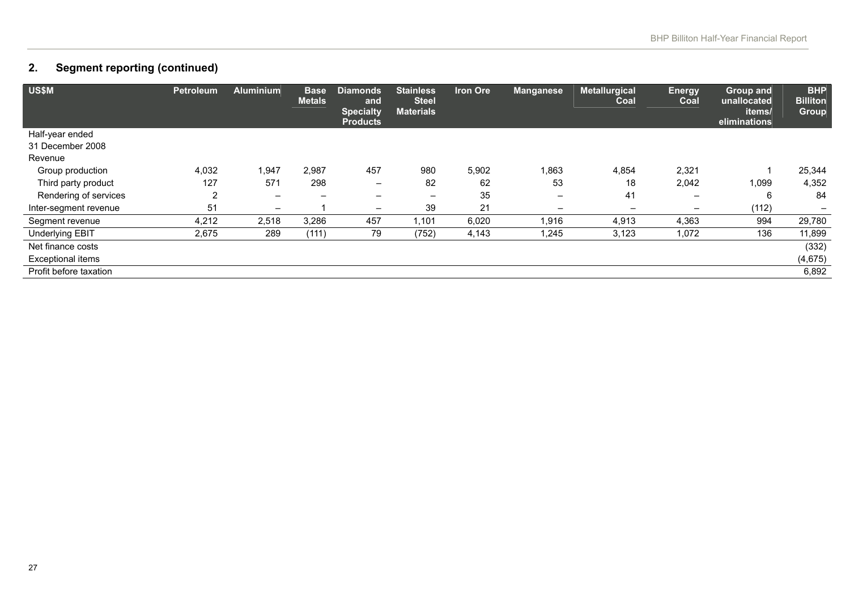### **2. Segment reporting (continued)**

| US\$M                  | <b>Petroleum</b> | <b>Aluminium</b>         | <b>Base</b><br><b>Metals</b> | <b>Diamonds</b><br>and<br><b>Specialty</b><br><b>Products</b> | <b>Stainless</b><br><b>Steel</b><br><b>Materials</b> | <b>Iron Ore</b> | <b>Manganese</b>         | <b>Metallurgical</b><br>Coal | <b>Energy</b><br>Coal    | <b>Group and</b><br>unallocated<br>items/<br>eliminations | <b>BHP</b><br><b>Billiton</b><br>Group |
|------------------------|------------------|--------------------------|------------------------------|---------------------------------------------------------------|------------------------------------------------------|-----------------|--------------------------|------------------------------|--------------------------|-----------------------------------------------------------|----------------------------------------|
| Half-year ended        |                  |                          |                              |                                                               |                                                      |                 |                          |                              |                          |                                                           |                                        |
| 31 December 2008       |                  |                          |                              |                                                               |                                                      |                 |                          |                              |                          |                                                           |                                        |
| Revenue                |                  |                          |                              |                                                               |                                                      |                 |                          |                              |                          |                                                           |                                        |
| Group production       | 4,032            | 1,947                    | 2,987                        | 457                                                           | 980                                                  | 5,902           | 1,863                    | 4,854                        | 2,321                    |                                                           | 25,344                                 |
| Third party product    | 127              | 571                      | 298                          | $\overline{\phantom{m}}$                                      | 82                                                   | 62              | 53                       | 18                           | 2,042                    | 1,099                                                     | 4,352                                  |
| Rendering of services  | 2                | $\qquad \qquad$          |                              | $\overline{\phantom{0}}$                                      | $\overline{\phantom{0}}$                             | 35              | $\overline{\phantom{m}}$ | 41                           | $\overline{\phantom{m}}$ | 6                                                         | 84                                     |
| Inter-segment revenue  | 51               | $\overline{\phantom{0}}$ |                              | $\overline{\phantom{0}}$                                      | 39                                                   | 21              | $\overline{\phantom{a}}$ |                              | $\overline{\phantom{m}}$ | (112)                                                     |                                        |
| Segment revenue        | 4,212            | 2,518                    | 3,286                        | 457                                                           | 1,101                                                | 6,020           | 1,916                    | 4,913                        | 4,363                    | 994                                                       | 29,780                                 |
| <b>Underlying EBIT</b> | 2,675            | 289                      | (111)                        | 79                                                            | (752)                                                | 4,143           | 1,245                    | 3,123                        | 1,072                    | 136                                                       | 11,899                                 |
| Net finance costs      |                  |                          |                              |                                                               |                                                      |                 |                          |                              |                          |                                                           | (332)                                  |
| Exceptional items      |                  |                          |                              |                                                               |                                                      |                 |                          |                              |                          |                                                           | (4,675)                                |
| Profit before taxation |                  |                          |                              |                                                               |                                                      |                 |                          |                              |                          |                                                           | 6,892                                  |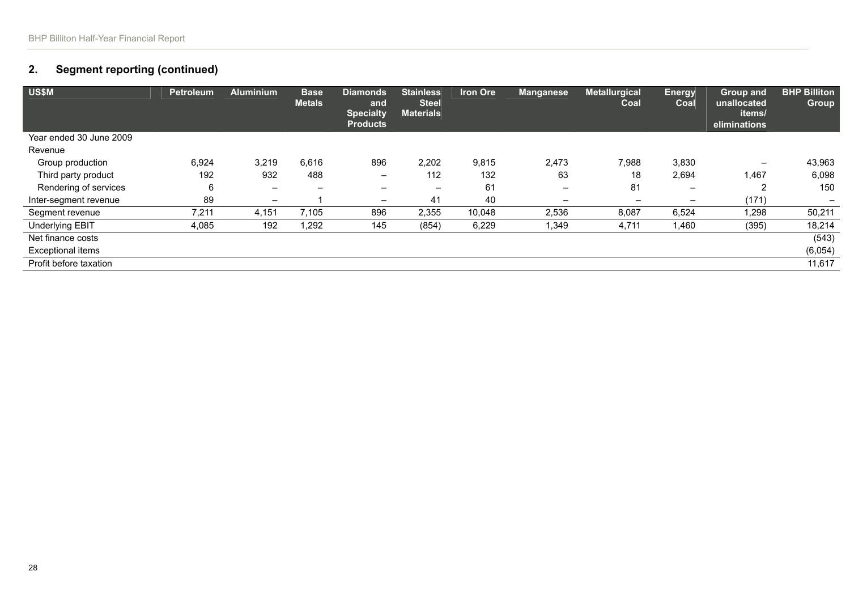### **2. Segment reporting (continued)**

| US\$M                    | <b>Petroleum</b> | <b>Aluminium</b>         | <b>Base</b><br><b>Metals</b> | <b>Diamonds</b><br>and<br><b>Specialty</b><br><b>Products</b> | <b>Stainless</b><br><b>Steel</b><br><b>Materials</b> | Iron Ore | <b>Manganese</b>         | <b>Metallurgical</b><br>Coal | <b>Energy</b><br>Coal    | <b>Group and</b><br>unallocated<br>items/<br>eliminations | <b>BHP Billiton</b><br>Group |
|--------------------------|------------------|--------------------------|------------------------------|---------------------------------------------------------------|------------------------------------------------------|----------|--------------------------|------------------------------|--------------------------|-----------------------------------------------------------|------------------------------|
| Year ended 30 June 2009  |                  |                          |                              |                                                               |                                                      |          |                          |                              |                          |                                                           |                              |
| Revenue                  |                  |                          |                              |                                                               |                                                      |          |                          |                              |                          |                                                           |                              |
| Group production         | 6,924            | 3,219                    | 6,616                        | 896                                                           | 2,202                                                | 9,815    | 2,473                    | 7,988                        | 3,830                    | —                                                         | 43,963                       |
| Third party product      | 192              | 932                      | 488                          | $\overline{\phantom{0}}$                                      | 112                                                  | 132      | 63                       | 18                           | 2,694                    | 1,467                                                     | 6,098                        |
| Rendering of services    | 6                | $\overline{\phantom{0}}$ |                              | -                                                             | $\overline{\phantom{0}}$                             | 61       | $\overline{\phantom{0}}$ | 81                           | $\overline{\phantom{0}}$ | 2                                                         | 150                          |
| Inter-segment revenue    | 89               | $\qquad \qquad \qquad$   |                              | $\overline{\phantom{0}}$                                      | 41                                                   | 40       | $\overline{\phantom{0}}$ |                              |                          | (171)                                                     | $\overline{\phantom{0}}$     |
| Segment revenue          | 7,211            | 4,151                    | 7,105                        | 896                                                           | 2,355                                                | 10.048   | 2,536                    | 8,087                        | 6,524                    | 1,298                                                     | 50,211                       |
| <b>Underlying EBIT</b>   | 4,085            | 192                      | 1,292                        | 145                                                           | (854)                                                | 6,229    | 1,349                    | 4,711                        | 1,460                    | (395)                                                     | 18,214                       |
| Net finance costs        |                  |                          |                              |                                                               |                                                      |          |                          |                              |                          |                                                           | (543)                        |
| <b>Exceptional items</b> |                  |                          |                              |                                                               |                                                      |          |                          |                              |                          |                                                           | (6,054)                      |
| Profit before taxation   |                  |                          |                              |                                                               |                                                      |          |                          |                              |                          |                                                           | 11,617                       |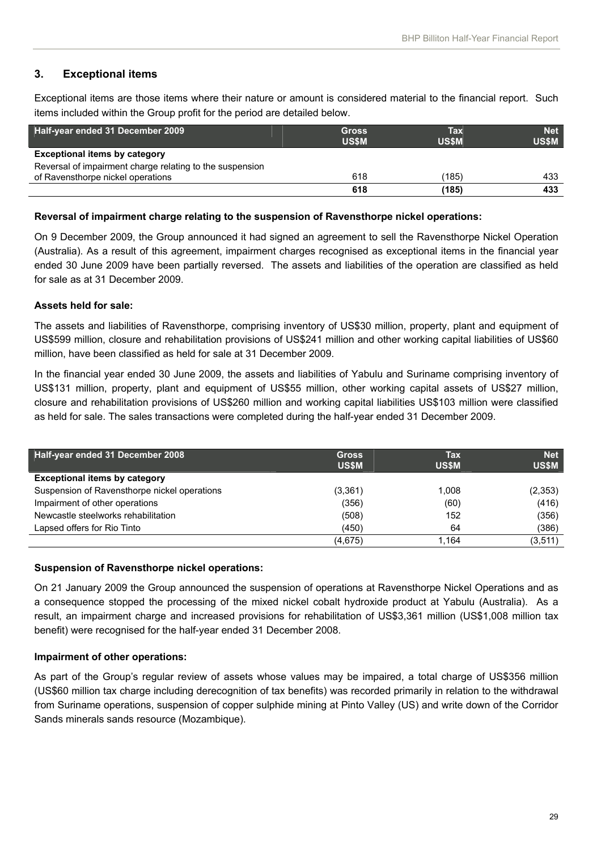#### <span id="page-28-0"></span>**3. Exceptional items**

Exceptional items are those items where their nature or amount is considered material to the financial report. Such items included within the Group profit for the period are detailed below.

| Half-year ended 31 December 2009                         | <b>Gross</b><br><b>USSM</b> | Tax<br><b>US\$M</b> | <b>Net</b><br><b>USSM</b> |
|----------------------------------------------------------|-----------------------------|---------------------|---------------------------|
| <b>Exceptional items by category</b>                     |                             |                     |                           |
| Reversal of impairment charge relating to the suspension |                             |                     |                           |
| of Ravensthorpe nickel operations                        | 618                         | (185)               | 433                       |
|                                                          | 618                         | (185)               | 433                       |

#### **Reversal of impairment charge relating to the suspension of Ravensthorpe nickel operations:**

On 9 December 2009, the Group announced it had signed an agreement to sell the Ravensthorpe Nickel Operation (Australia). As a result of this agreement, impairment charges recognised as exceptional items in the financial year ended 30 June 2009 have been partially reversed. The assets and liabilities of the operation are classified as held for sale as at 31 December 2009.

#### **Assets held for sale:**

The assets and liabilities of Ravensthorpe, comprising inventory of US\$30 million, property, plant and equipment of US\$599 million, closure and rehabilitation provisions of US\$241 million and other working capital liabilities of US\$60 million, have been classified as held for sale at 31 December 2009.

In the financial year ended 30 June 2009, the assets and liabilities of Yabulu and Suriname comprising inventory of US\$131 million, property, plant and equipment of US\$55 million, other working capital assets of US\$27 million, closure and rehabilitation provisions of US\$260 million and working capital liabilities US\$103 million were classified as held for sale. The sales transactions were completed during the half-year ended 31 December 2009.

| Half-year ended 31 December 2008             | <b>Gross</b><br><b>USSM</b> | Tax<br><b>USSM</b> | <b>Net</b><br><b>USSM</b> |
|----------------------------------------------|-----------------------------|--------------------|---------------------------|
| <b>Exceptional items by category</b>         |                             |                    |                           |
| Suspension of Ravensthorpe nickel operations | (3,361)                     | 1.008              | (2,353)                   |
| Impairment of other operations               | (356)                       | (60)               | (416)                     |
| Newcastle steelworks rehabilitation          | (508)                       | 152                | (356)                     |
| Lapsed offers for Rio Tinto                  | (450)                       | 64                 | (386)                     |
|                                              | (4,675)                     | 1.164              | (3,511)                   |

#### **Suspension of Ravensthorpe nickel operations:**

On 21 January 2009 the Group announced the suspension of operations at Ravensthorpe Nickel Operations and as a consequence stopped the processing of the mixed nickel cobalt hydroxide product at Yabulu (Australia). As a result, an impairment charge and increased provisions for rehabilitation of US\$3,361 million (US\$1,008 million tax benefit) were recognised for the half-year ended 31 December 2008.

#### **Impairment of other operations:**

As part of the Group's regular review of assets whose values may be impaired, a total charge of US\$356 million (US\$60 million tax charge including derecognition of tax benefits) was recorded primarily in relation to the withdrawal from Suriname operations, suspension of copper sulphide mining at Pinto Valley (US) and write down of the Corridor Sands minerals sands resource (Mozambique).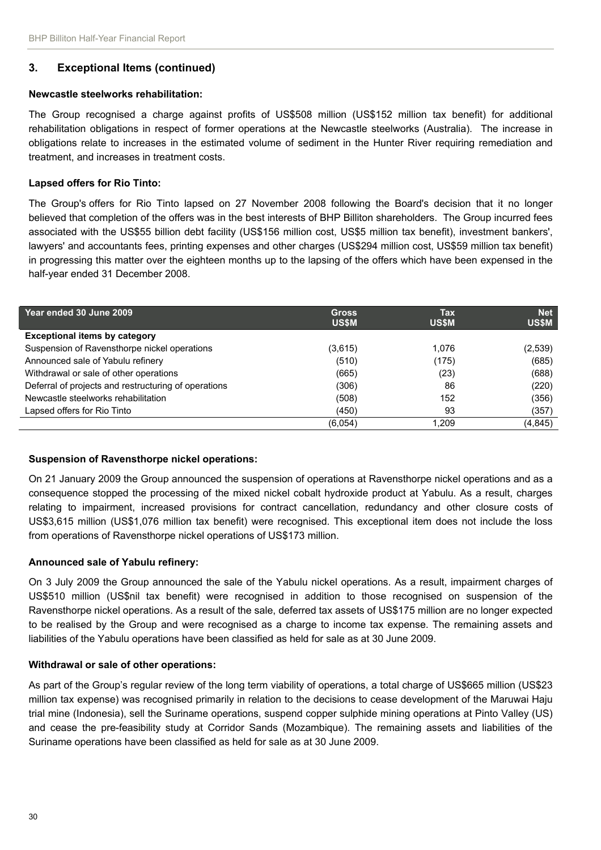#### **3. Exceptional Items (continued)**

#### **Newcastle steelworks rehabilitation:**

The Group recognised a charge against profits of US\$508 million (US\$152 million tax benefit) for additional rehabilitation obligations in respect of former operations at the Newcastle steelworks (Australia). The increase in obligations relate to increases in the estimated volume of sediment in the Hunter River requiring remediation and treatment, and increases in treatment costs.

#### **Lapsed offers for Rio Tinto:**

The Group's offers for Rio Tinto lapsed on 27 November 2008 following the Board's decision that it no longer believed that completion of the offers was in the best interests of BHP Billiton shareholders. The Group incurred fees associated with the US\$55 billion debt facility (US\$156 million cost, US\$5 million tax benefit), investment bankers', lawyers' and accountants fees, printing expenses and other charges (US\$294 million cost, US\$59 million tax benefit) in progressing this matter over the eighteen months up to the lapsing of the offers which have been expensed in the half-year ended 31 December 2008.

| Year ended 30 June 2009                              | <b>Gross</b><br><b>US\$M</b> | Tax<br><b>US\$M</b> | <b>Net</b><br><b>US\$M</b> |
|------------------------------------------------------|------------------------------|---------------------|----------------------------|
| <b>Exceptional items by category</b>                 |                              |                     |                            |
| Suspension of Ravensthorpe nickel operations         | (3,615)                      | 1.076               | (2,539)                    |
| Announced sale of Yabulu refinery                    | (510)                        | (175)               | (685)                      |
| Withdrawal or sale of other operations               | (665)                        | (23)                | (688)                      |
| Deferral of projects and restructuring of operations | (306)                        | 86                  | (220)                      |
| Newcastle steelworks rehabilitation                  | (508)                        | 152                 | (356)                      |
| Lapsed offers for Rio Tinto                          | (450)                        | 93                  | (357)                      |
|                                                      | (6.054)                      | 1.209               | (4, 845)                   |

#### **Suspension of Ravensthorpe nickel operations:**

On 21 January 2009 the Group announced the suspension of operations at Ravensthorpe nickel operations and as a consequence stopped the processing of the mixed nickel cobalt hydroxide product at Yabulu. As a result, charges relating to impairment, increased provisions for contract cancellation, redundancy and other closure costs of US\$3,615 million (US\$1,076 million tax benefit) were recognised. This exceptional item does not include the loss from operations of Ravensthorpe nickel operations of US\$173 million.

#### **Announced sale of Yabulu refinery:**

On 3 July 2009 the Group announced the sale of the Yabulu nickel operations. As a result, impairment charges of US\$510 million (US\$nil tax benefit) were recognised in addition to those recognised on suspension of the Ravensthorpe nickel operations. As a result of the sale, deferred tax assets of US\$175 million are no longer expected to be realised by the Group and were recognised as a charge to income tax expense. The remaining assets and liabilities of the Yabulu operations have been classified as held for sale as at 30 June 2009.

#### **Withdrawal or sale of other operations:**

As part of the Group's regular review of the long term viability of operations, a total charge of US\$665 million (US\$23 million tax expense) was recognised primarily in relation to the decisions to cease development of the Maruwai Haju trial mine (Indonesia), sell the Suriname operations, suspend copper sulphide mining operations at Pinto Valley (US) and cease the pre-feasibility study at Corridor Sands (Mozambique). The remaining assets and liabilities of the Suriname operations have been classified as held for sale as at 30 June 2009.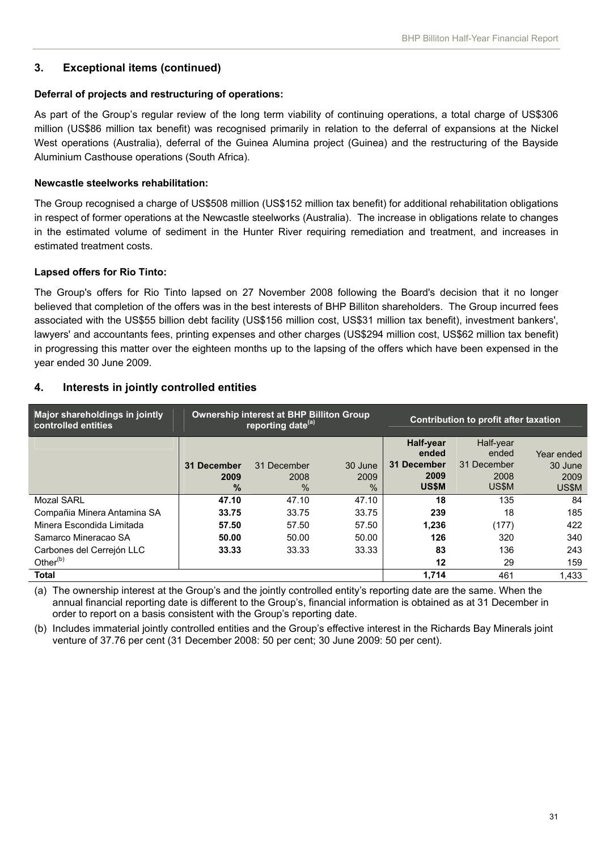#### **3. Exceptional items (continued)**

#### **Deferral of projects and restructuring of operations:**

As part of the Group's regular review of the long term viability of continuing operations, a total charge of US\$306 million (US\$86 million tax benefit) was recognised primarily in relation to the deferral of expansions at the Nickel West operations (Australia), deferral of the Guinea Alumina project (Guinea) and the restructuring of the Bayside Aluminium Casthouse operations (South Africa).

#### **Newcastle steelworks rehabilitation:**

The Group recognised a charge of US\$508 million (US\$152 million tax benefit) for additional rehabilitation obligations in respect of former operations at the Newcastle steelworks (Australia). The increase in obligations relate to changes in the estimated volume of sediment in the Hunter River requiring remediation and treatment, and increases in estimated treatment costs.

#### **Lapsed offers for Rio Tinto:**

The Group's offers for Rio Tinto lapsed on 27 November 2008 following the Board's decision that it no longer believed that completion of the offers was in the best interests of BHP Billiton shareholders. The Group incurred fees associated with the US\$55 billion debt facility (US\$156 million cost, US\$31 million tax benefit), investment bankers', lawyers' and accountants fees, printing expenses and other charges (US\$294 million cost, US\$62 million tax benefit) in progressing this matter over the eighteen months up to the lapsing of the offers which have been expensed in the year ended 30 June 2009.

| Major shareholdings in jointly<br>controlled entities | <b>Ownership interest at BHP Billiton Group</b><br>reporting date <sup>(a)</sup> |               |         | <b>Contribution to profit after taxation</b> |             |            |
|-------------------------------------------------------|----------------------------------------------------------------------------------|---------------|---------|----------------------------------------------|-------------|------------|
|                                                       |                                                                                  |               |         | <b>Half-year</b>                             | Half-year   |            |
|                                                       |                                                                                  |               |         | ended                                        | ended       | Year ended |
|                                                       | 31 December                                                                      | 31 December   | 30 June | 31 December                                  | 31 December | 30 June    |
|                                                       | 2009                                                                             | 2008          | 2009    | 2009                                         | 2008        | 2009       |
|                                                       | $\%$                                                                             | $\frac{0}{0}$ | $\%$    | <b>US\$M</b>                                 | US\$M       | US\$M      |
| <b>Mozal SARL</b>                                     | 47.10                                                                            | 47.10         | 47.10   | 18                                           | 135         | 84         |
| Compañia Minera Antamina SA                           | 33.75                                                                            | 33.75         | 33.75   | 239                                          | 18          | 185        |
| Minera Escondida Limitada                             | 57.50                                                                            | 57.50         | 57.50   | 1.236                                        | (177)       | 422        |
| Samarco Mineracao SA                                  | 50.00                                                                            | 50.00         | 50.00   | 126                                          | 320         | 340        |
| Carbones del Cerrejón LLC                             | 33.33                                                                            | 33.33         | 33.33   | 83                                           | 136         | 243        |
| Other $(b)$                                           |                                                                                  |               |         | 12                                           | 29          | 159        |
| <b>Total</b>                                          |                                                                                  |               |         | 1.714                                        | 461         | 1.433      |

#### <span id="page-30-0"></span>**4. Interests in jointly controlled entities**

(a) The ownership interest at the Group's and the jointly controlled entity's reporting date are the same. When the annual financial reporting date is different to the Group's, financial information is obtained as at 31 December in order to report on a basis consistent with the Group's reporting date.

(b) Includes immaterial jointly controlled entities and the Group's effective interest in the Richards Bay Minerals joint venture of 37.76 per cent (31 December 2008: 50 per cent; 30 June 2009: 50 per cent).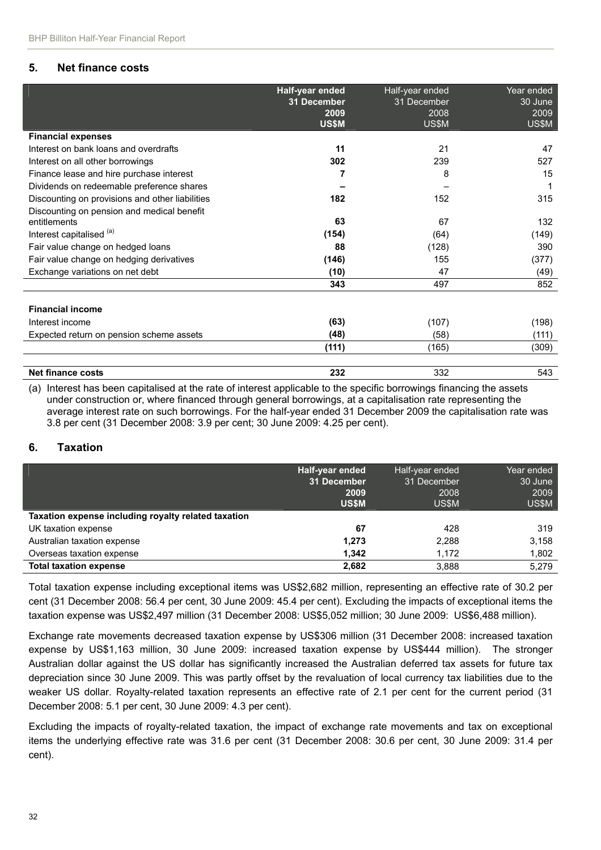#### **5. Net finance costs**

<span id="page-31-0"></span>

|                                                            | Half-year ended<br>31 December<br>2009<br>US\$M | Half-year ended<br>31 December<br>2008<br>US\$M | Year ended<br>30 June<br>2009<br>US\$M |
|------------------------------------------------------------|-------------------------------------------------|-------------------------------------------------|----------------------------------------|
| <b>Financial expenses</b>                                  |                                                 |                                                 |                                        |
| Interest on bank loans and overdrafts                      | 11                                              | 21                                              | 47                                     |
| Interest on all other borrowings                           | 302                                             | 239                                             | 527                                    |
| Finance lease and hire purchase interest                   | 7                                               | 8                                               | 15                                     |
| Dividends on redeemable preference shares                  |                                                 |                                                 | 1                                      |
| Discounting on provisions and other liabilities            | 182                                             | 152                                             | 315                                    |
| Discounting on pension and medical benefit<br>entitlements | 63                                              | 67                                              | 132                                    |
| Interest capitalised <sup>(a)</sup>                        | (154)                                           | (64)                                            | (149)                                  |
| Fair value change on hedged loans                          | 88                                              | (128)                                           | 390                                    |
| Fair value change on hedging derivatives                   | (146)                                           | 155                                             | (377)                                  |
| Exchange variations on net debt                            | (10)                                            | 47                                              | (49)                                   |
|                                                            | 343                                             | 497                                             | 852                                    |
| <b>Financial income</b>                                    |                                                 |                                                 |                                        |
| Interest income                                            | (63)                                            | (107)                                           | (198)                                  |
| Expected return on pension scheme assets                   | (48)                                            | (58)                                            | (111)                                  |
|                                                            | (111)                                           | (165)                                           | (309)                                  |
| <b>Net finance costs</b>                                   | 232                                             | 332                                             | 543                                    |

(a) Interest has been capitalised at the rate of interest applicable to the specific borrowings financing the assets under construction or, where financed through general borrowings, at a capitalisation rate representing the average interest rate on such borrowings. For the half-year ended 31 December 2009 the capitalisation rate was 3.8 per cent (31 December 2008: 3.9 per cent; 30 June 2009: 4.25 per cent).

#### <span id="page-31-1"></span>**6. Taxation**

|                                                     | Half-year ended<br>31 December | Half-year ended<br>31 December | Year ended<br>30 June |
|-----------------------------------------------------|--------------------------------|--------------------------------|-----------------------|
|                                                     | 2009<br><b>US\$M</b>           | 2008<br>US\$M                  | 2009<br><b>US\$M</b>  |
| Taxation expense including royalty related taxation |                                |                                |                       |
| UK taxation expense                                 | 67                             | 428                            | 319                   |
| Australian taxation expense                         | 1,273                          | 2,288                          | 3.158                 |
| Overseas taxation expense                           | 1,342                          | 1,172                          | 1,802                 |
| <b>Total taxation expense</b>                       | 2,682                          | 3.888                          | 5.279                 |

Total taxation expense including exceptional items was US\$2,682 million, representing an effective rate of 30.2 per cent (31 December 2008: 56.4 per cent, 30 June 2009: 45.4 per cent). Excluding the impacts of exceptional items the taxation expense was US\$2,497 million (31 December 2008: US\$5,052 million; 30 June 2009: US\$6,488 million).

Exchange rate movements decreased taxation expense by US\$306 million (31 December 2008: increased taxation expense by US\$1,163 million, 30 June 2009: increased taxation expense by US\$444 million). The stronger Australian dollar against the US dollar has significantly increased the Australian deferred tax assets for future tax depreciation since 30 June 2009. This was partly offset by the revaluation of local currency tax liabilities due to the weaker US dollar. Royalty-related taxation represents an effective rate of 2.1 per cent for the current period (31 December 2008: 5.1 per cent, 30 June 2009: 4.3 per cent).

Excluding the impacts of royalty-related taxation, the impact of exchange rate movements and tax on exceptional items the underlying effective rate was 31.6 per cent (31 December 2008: 30.6 per cent, 30 June 2009: 31.4 per cent).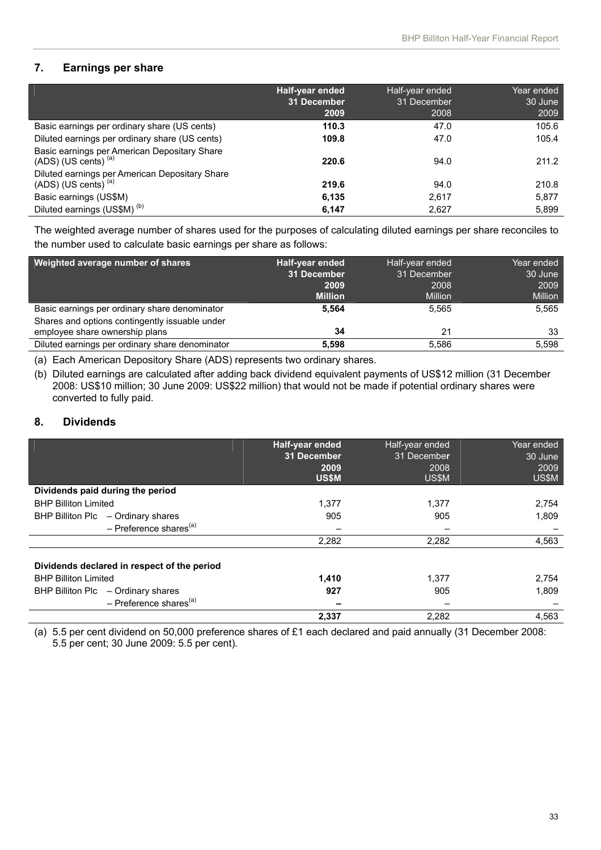#### <span id="page-32-0"></span>**7. Earnings per share**

|                                                                          | Half-year ended<br>31 December<br>2009 | Half-year ended<br>31 December<br>2008 | Year ended<br>30 June<br>2009 |
|--------------------------------------------------------------------------|----------------------------------------|----------------------------------------|-------------------------------|
| Basic earnings per ordinary share (US cents)                             | 110.3                                  | 47.0                                   | 105.6                         |
| Diluted earnings per ordinary share (US cents)                           | 109.8                                  | 47.0                                   | 105.4                         |
| Basic earnings per American Depositary Share<br>$(ADS)$ (US cents) $(a)$ | 220.6                                  | 94.0                                   | 211.2                         |
| Diluted earnings per American Depositary Share                           |                                        |                                        |                               |
| $(ADS)$ (US cents) <sup>(a)</sup>                                        | 219.6                                  | 94.0                                   | 210.8                         |
| Basic earnings (US\$M)                                                   | 6,135                                  | 2,617                                  | 5,877                         |
| Diluted earnings (US\$M) <sup>(b)</sup>                                  | 6,147                                  | 2,627                                  | 5,899                         |

The weighted average number of shares used for the purposes of calculating diluted earnings per share reconciles to the number used to calculate basic earnings per share as follows:

| Weighted average number of shares                                                                                                 | Half-year ended<br>31 December<br>2009<br><b>Million</b> | Half-year ended<br>31 December<br>2008<br>Million | Year ended<br>30 June<br>2009<br>Million |
|-----------------------------------------------------------------------------------------------------------------------------------|----------------------------------------------------------|---------------------------------------------------|------------------------------------------|
| Basic earnings per ordinary share denominator<br>Shares and options contingently issuable under<br>employee share ownership plans | 5.564<br>34                                              | 5.565<br>21                                       | 5.565<br>33                              |
| Diluted earnings per ordinary share denominator                                                                                   | 5.598                                                    | 5.586                                             | 5.598                                    |

(a) Each American Depository Share (ADS) represents two ordinary shares.

(b) Diluted earnings are calculated after adding back dividend equivalent payments of US\$12 million (31 December 2008: US\$10 million; 30 June 2009: US\$22 million) that would not be made if potential ordinary shares were converted to fully paid.

#### <span id="page-32-1"></span>**8. Dividends**

|                                             | Half-year ended<br>31 December<br>2009<br><b>US\$M</b> | Half-year ended<br>31 December<br>2008<br><b>USSM</b> | Year ended<br>30 June<br>2009<br>US\$M |
|---------------------------------------------|--------------------------------------------------------|-------------------------------------------------------|----------------------------------------|
| Dividends paid during the period            |                                                        |                                                       |                                        |
| <b>BHP Billiton Limited</b>                 | 1,377                                                  | 1,377                                                 | 2,754                                  |
| BHP Billiton Plc - Ordinary shares          | 905                                                    | 905                                                   | 1,809                                  |
| $-$ Preference shares <sup>(a)</sup>        |                                                        |                                                       |                                        |
|                                             | 2,282                                                  | 2,282                                                 | 4,563                                  |
| Dividends declared in respect of the period |                                                        |                                                       |                                        |
| <b>BHP Billiton Limited</b>                 | 1,410                                                  | 1,377                                                 | 2,754                                  |
| BHP Billiton Plc - Ordinary shares          | 927                                                    | 905                                                   | 1.809                                  |
| $-$ Preference shares <sup>(a)</sup>        |                                                        |                                                       |                                        |
|                                             | 2,337                                                  | 2.282                                                 | 4.563                                  |

(a) 5.5 per cent dividend on 50,000 preference shares of £1 each declared and paid annually (31 December 2008: 5.5 per cent; 30 June 2009: 5.5 per cent).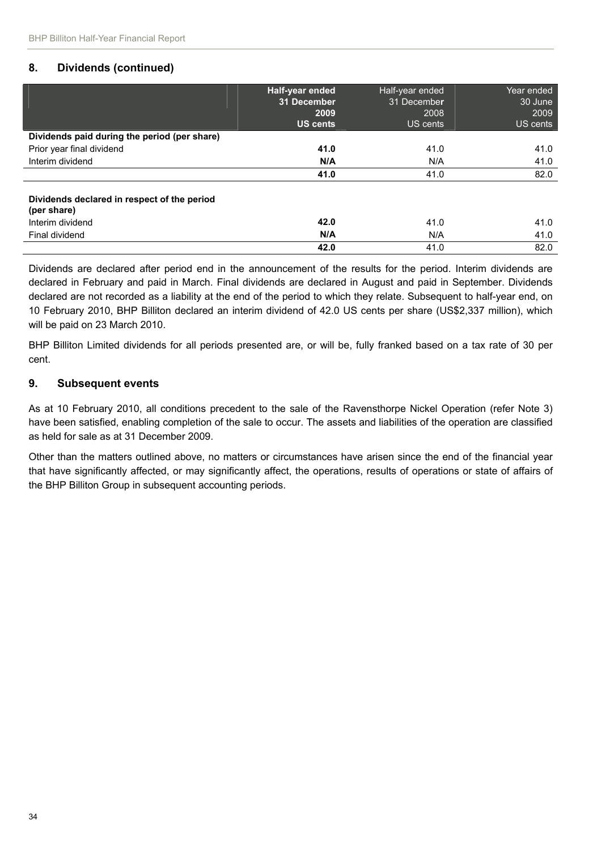#### **8. Dividends (continued)**

|                                                            | Half-year ended | Half-year ended | Year ended |
|------------------------------------------------------------|-----------------|-----------------|------------|
|                                                            | 31 December     | 31 December     | 30 June    |
|                                                            | 2009            | 2008            | 2009       |
|                                                            | <b>US cents</b> | US cents        | US cents   |
| Dividends paid during the period (per share)               |                 |                 |            |
| Prior year final dividend                                  | 41.0            | 41.0            | 41.0       |
| Interim dividend                                           | N/A             | N/A             | 41.0       |
|                                                            | 41.0            | 41.0            | 82.0       |
| Dividends declared in respect of the period<br>(per share) |                 |                 |            |
| Interim dividend                                           | 42.0            | 41.0            | 41.0       |
| Final dividend                                             | N/A             | N/A             | 41.0       |
|                                                            | 42.0            | 41.0            | 82.0       |

Dividends are declared after period end in the announcement of the results for the period. Interim dividends are declared in February and paid in March. Final dividends are declared in August and paid in September. Dividends declared are not recorded as a liability at the end of the period to which they relate. Subsequent to half-year end, on 10 February 2010, BHP Billiton declared an interim dividend of 42.0 US cents per share (US\$2,337 million), which will be paid on 23 March 2010.

BHP Billiton Limited dividends for all periods presented are, or will be, fully franked based on a tax rate of 30 per cent.

#### <span id="page-33-0"></span>**9. Subsequent events**

As at 10 February 2010, all conditions precedent to the sale of the Ravensthorpe Nickel Operation (refer Note 3) have been satisfied, enabling completion of the sale to occur. The assets and liabilities of the operation are classified as held for sale as at 31 December 2009.

Other than the matters outlined above, no matters or circumstances have arisen since the end of the financial year that have significantly affected, or may significantly affect, the operations, results of operations or state of affairs of the BHP Billiton Group in subsequent accounting periods.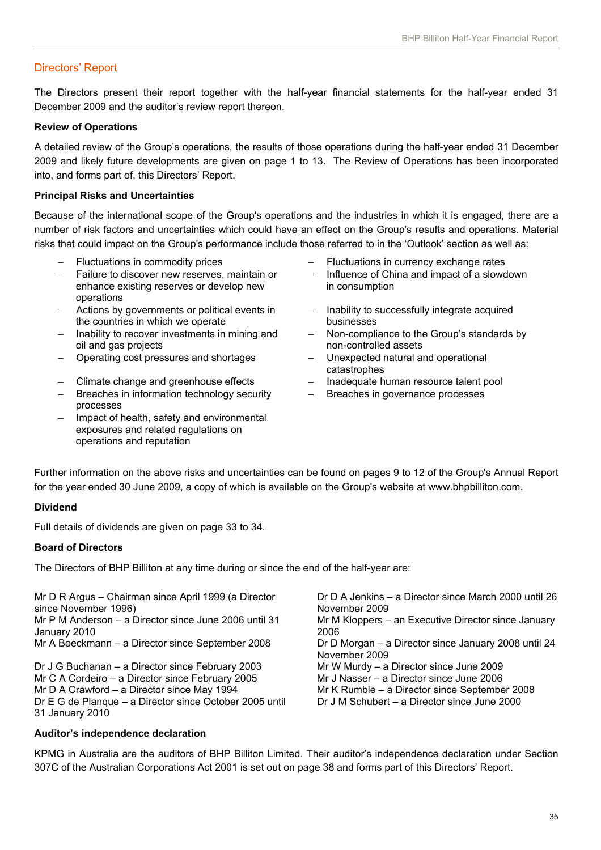#### <span id="page-34-0"></span>Directors' Report

The Directors present their report together with the half-year financial statements for the half-year ended 31 December 2009 and the auditor's review report thereon.

#### **Review of Operations**

A detailed review of the Group's operations, the results of those operations during the half-year ended 31 December 2009 and likely future developments are given on page 1 to 13. The Review of Operations has been incorporated into, and forms part of, this Directors' Report.

#### **Principal Risks and Uncertainties**

Because of the international scope of the Group's operations and the industries in which it is engaged, there are a number of risk factors and uncertainties which could have an effect on the Group's results and operations. Material risks that could impact on the Group's performance include those referred to in the 'Outlook' section as well as:

- 
- Failure to discover new reserves, maintain or enhance existing reserves or develop new operations
- Actions by governments or political events in the countries in which we operate
- Inability to recover investments in mining and oil and gas projects
- Operating cost pressures and shortages  $-$  Unexpected natural and operational
- Climate change and greenhouse effects  $\overline{\phantom{a}}$  Inadequate human resource talent pool
- Breaches in information technology security processes
- Impact of health, safety and environmental exposures and related regulations on operations and reputation
- Fluctuations in commodity prices  $-$  Fluctuations in currency exchange rates
	- Influence of China and impact of a slowdown in consumption
	- Inability to successfully integrate acquired businesses
	- Non-compliance to the Group's standards by non-controlled assets
	- catastrophes
	-
	- Breaches in governance processes

Further information on the above risks and uncertainties can be found on pages 9 to 12 of the Group's Annual Report for the year ended 30 June 2009, a copy of which is available on the Group's website at [www.bhpbilliton.com](http://www.bhpbilliton.com/).

#### **Dividend**

Full details of dividends are given on page 33 to 34.

#### **Board of Directors**

The Directors of BHP Billiton at any time during or since the end of the half-year are:

Mr D R Argus – Chairman since April 1999 (a Director since November 1996) Mr P M Anderson – a Director since June 2006 until 31 January 2010 Mr A Boeckmann – a Director since September 2008 Dr D Morgan – a Director since January 2008 until 24 Dr J G Buchanan – a Director since February 2003 Mr W Murdy – a Director since June 2009<br>Mr C A Cordeiro – a Director since February 2005 Mr J Nasser – a Director since June 2006 Mr C A Cordeiro – a Director since February 2005 Mr J Nasser – a Director since June 2006<br>Mr D A Crawford – a Director since May 1994 Mr K Rumble – a Director since September 2008 Mr D A Crawford – a Director since May 1994

Dr E G de Planque – a Director since October 2005 until 31 January 2010

**Auditor's independence declaration** 

 Dr D A Jenkins – a Director since March 2000 until 26 November 2009 Mr M Kloppers – an Executive Director since January 2006 November 2009 Dr J M Schubert – a Director since June 2000

KPMG in Australia are the auditors of BHP Billiton Limited. Their auditor's independence declaration under Section 307C of the Australian Corporations Act 2001 is set out on page 38 and forms part of this Directors' Report.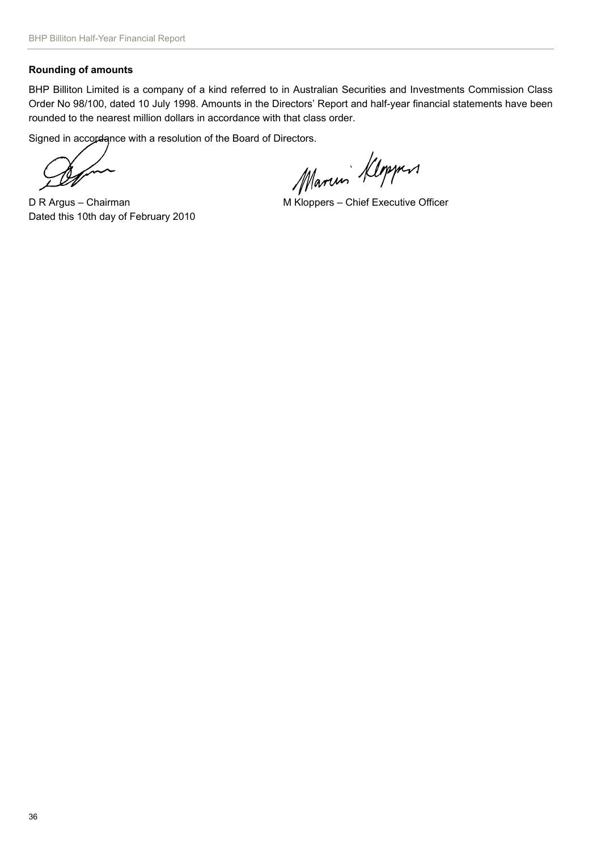#### **Rounding of amounts**

BHP Billiton Limited is a company of a kind referred to in Australian Securities and Investments Commission Class Order No 98/100, dated 10 July 1998. Amounts in the Directors' Report and half-year financial statements have been rounded to the nearest million dollars in accordance with that class order.

Signed in accordance with a resolution of the Board of Directors.

Dated this 10th day of February 2010

D R Argus – Chairman M Kloppers – Chief Executive Officer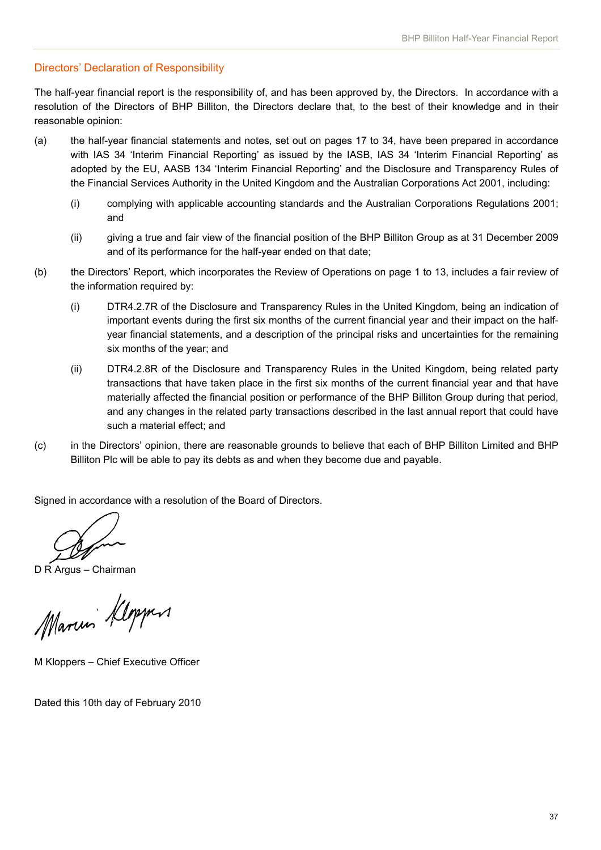#### <span id="page-36-0"></span>Directors' Declaration of Responsibility

The half-year financial report is the responsibility of, and has been approved by, the Directors. In accordance with a resolution of the Directors of BHP Billiton, the Directors declare that, to the best of their knowledge and in their reasonable opinion:

- (a) the half-year financial statements and notes, set out on pages 17 to 34, have been prepared in accordance with IAS 34 'Interim Financial Reporting' as issued by the IASB, IAS 34 'Interim Financial Reporting' as adopted by the EU, AASB 134 'Interim Financial Reporting' and the Disclosure and Transparency Rules of the Financial Services Authority in the United Kingdom and the Australian Corporations Act 2001, including:
	- (i) complying with applicable accounting standards and the Australian Corporations Regulations 2001; and
	- (ii) giving a true and fair view of the financial position of the BHP Billiton Group as at 31 December 2009 and of its performance for the half-year ended on that date;
- (b) the Directors' Report, which incorporates the Review of Operations on page 1 to 13, includes a fair review of the information required by:
	- (i) DTR4.2.7R of the Disclosure and Transparency Rules in the United Kingdom, being an indication of important events during the first six months of the current financial year and their impact on the halfyear financial statements, and a description of the principal risks and uncertainties for the remaining six months of the year; and
	- (ii) DTR4.2.8R of the Disclosure and Transparency Rules in the United Kingdom, being related party transactions that have taken place in the first six months of the current financial year and that have materially affected the financial position or performance of the BHP Billiton Group during that period, and any changes in the related party transactions described in the last annual report that could have such a material effect; and
- (c) in the Directors' opinion, there are reasonable grounds to believe that each of BHP Billiton Limited and BHP Billiton Plc will be able to pay its debts as and when they become due and payable.

Signed in accordance with a resolution of the Board of Directors.

D R Argus – Chairman

Marin Kloppers

M Kloppers – Chief Executive Officer

Dated this 10th day of February 2010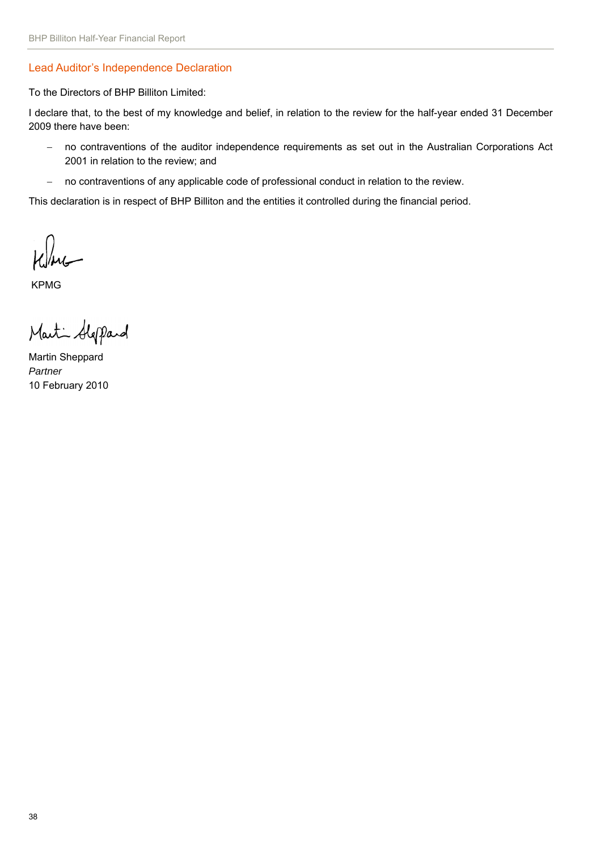#### <span id="page-37-0"></span>Lead Auditor's Independence Declaration

To the Directors of BHP Billiton Limited:

I declare that, to the best of my knowledge and belief, in relation to the review for the half-year ended 31 December 2009 there have been:

- no contraventions of the auditor independence requirements as set out in the Australian Corporations Act 2001 in relation to the review; and
- no contraventions of any applicable code of professional conduct in relation to the review.

This declaration is in respect of BHP Billiton and the entities it controlled during the financial period.

、<br>KPMG

Marti Steppard

Martin Sheppard *Partner*  10 February 2010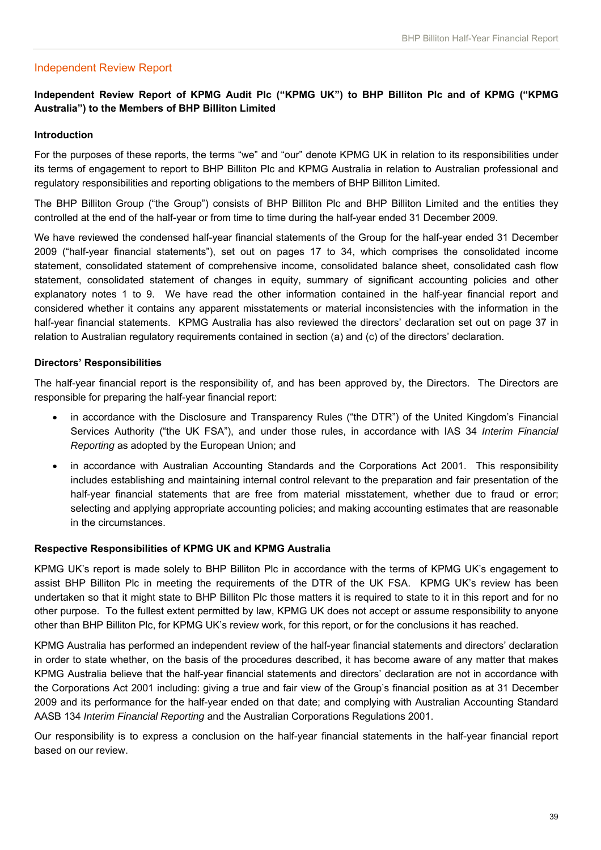#### <span id="page-38-0"></span>Independent Review Report

#### **Independent Review Report of KPMG Audit Plc ("KPMG UK") to BHP Billiton Plc and of KPMG ("KPMG Australia") to the Members of BHP Billiton Limited**

#### **Introduction**

For the purposes of these reports, the terms "we" and "our" denote KPMG UK in relation to its responsibilities under its terms of engagement to report to BHP Billiton Plc and KPMG Australia in relation to Australian professional and regulatory responsibilities and reporting obligations to the members of BHP Billiton Limited.

The BHP Billiton Group ("the Group") consists of BHP Billiton Plc and BHP Billiton Limited and the entities they controlled at the end of the half-year or from time to time during the half-year ended 31 December 2009.

We have reviewed the condensed half-year financial statements of the Group for the half-year ended 31 December 2009 ("half-year financial statements"), set out on pages 17 to 34, which comprises the consolidated income statement, consolidated statement of comprehensive income, consolidated balance sheet, consolidated cash flow statement, consolidated statement of changes in equity, summary of significant accounting policies and other explanatory notes 1 to 9. We have read the other information contained in the half-year financial report and considered whether it contains any apparent misstatements or material inconsistencies with the information in the half-year financial statements. KPMG Australia has also reviewed the directors' declaration set out on page 37 in relation to Australian regulatory requirements contained in section (a) and (c) of the directors' declaration.

#### **Directors' Responsibilities**

The half-year financial report is the responsibility of, and has been approved by, the Directors. The Directors are responsible for preparing the half-year financial report:

- in accordance with the Disclosure and Transparency Rules ("the DTR") of the United Kingdom's Financial Services Authority ("the UK FSA"), and under those rules, in accordance with IAS 34 *Interim Financial Reporting* as adopted by the European Union; and
- in accordance with Australian Accounting Standards and the Corporations Act 2001. This responsibility includes establishing and maintaining internal control relevant to the preparation and fair presentation of the half-year financial statements that are free from material misstatement, whether due to fraud or error; selecting and applying appropriate accounting policies; and making accounting estimates that are reasonable in the circumstances.

#### **Respective Responsibilities of KPMG UK and KPMG Australia**

KPMG UK's report is made solely to BHP Billiton Plc in accordance with the terms of KPMG UK's engagement to assist BHP Billiton Plc in meeting the requirements of the DTR of the UK FSA. KPMG UK's review has been undertaken so that it might state to BHP Billiton Plc those matters it is required to state to it in this report and for no other purpose. To the fullest extent permitted by law, KPMG UK does not accept or assume responsibility to anyone other than BHP Billiton Plc, for KPMG UK's review work, for this report, or for the conclusions it has reached.

KPMG Australia has performed an independent review of the half-year financial statements and directors' declaration in order to state whether, on the basis of the procedures described, it has become aware of any matter that makes KPMG Australia believe that the half-year financial statements and directors' declaration are not in accordance with the Corporations Act 2001 including: giving a true and fair view of the Group's financial position as at 31 December 2009 and its performance for the half-year ended on that date; and complying with Australian Accounting Standard AASB 134 *Interim Financial Reporting* and the Australian Corporations Regulations 2001.

Our responsibility is to express a conclusion on the half-year financial statements in the half-year financial report based on our review.